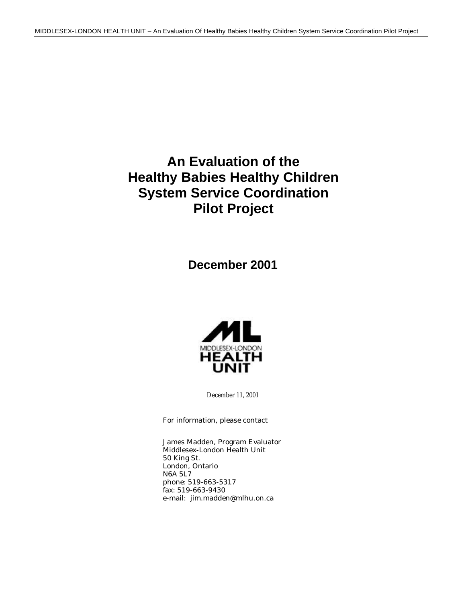## **An Evaluation of the Healthy Babies Healthy Children System Service Coordination Pilot Project**

**December 2001**



December 11, 2001

For information, please contact

James Madden, Program Evaluator Middlesex-London Health Unit 50 King St. London, Ontario N6A 5L7 phone: 519-663-5317 fax: 519-663-9430 e-mail: jim.madden@mlhu.on.ca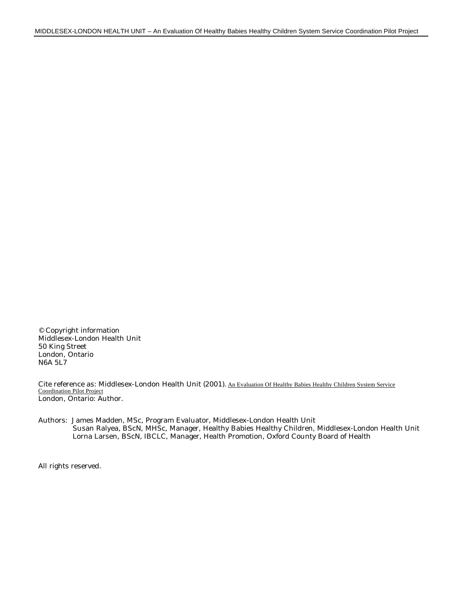© Copyright information Middlesex-London Health Unit 50 King Street London, Ontario N6A 5L7

Cite reference as: Middlesex-London Health Unit (2001). An Evaluation Of Healthy Babies Healthy Children System Service Coordination Pilot Project London, Ontario: Author.

Authors: James Madden, MSc, Program Evaluator, Middlesex-London Health Unit Susan Ralyea, BScN, MHSc, Manager, Healthy Babies Healthy Children, Middlesex-London Health Unit Lorna Larsen, BScN, IBCLC, Manager, Health Promotion, Oxford County Board of Health

All rights reserved.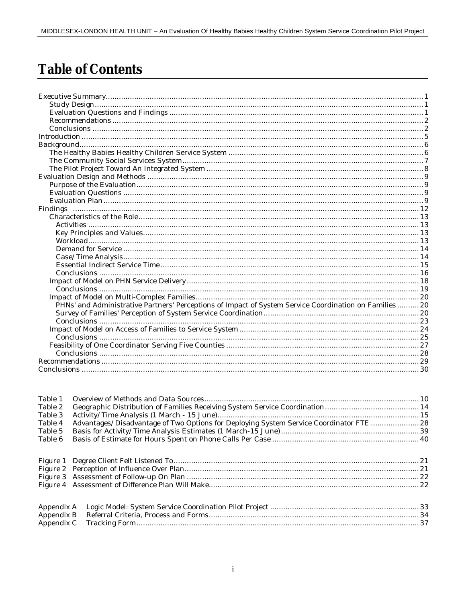## **Table of Contents**

| PHNs' and Administrative Partners' Perceptions of Impact of System Service Coordination on Families 20 |  |
|--------------------------------------------------------------------------------------------------------|--|
|                                                                                                        |  |
|                                                                                                        |  |
|                                                                                                        |  |
|                                                                                                        |  |
|                                                                                                        |  |
|                                                                                                        |  |
|                                                                                                        |  |
|                                                                                                        |  |
|                                                                                                        |  |

| Table 1    |                                                                                         |  |
|------------|-----------------------------------------------------------------------------------------|--|
| Table 2    |                                                                                         |  |
| Table 3    |                                                                                         |  |
| Table 4    | Advantages/Disadvantage of Two Options for Deploying System Service Coordinator FTE  28 |  |
| Table 5    |                                                                                         |  |
| Table 6    |                                                                                         |  |
|            |                                                                                         |  |
|            |                                                                                         |  |
| Appendix A |                                                                                         |  |
| Appendix B |                                                                                         |  |
| Appendix C |                                                                                         |  |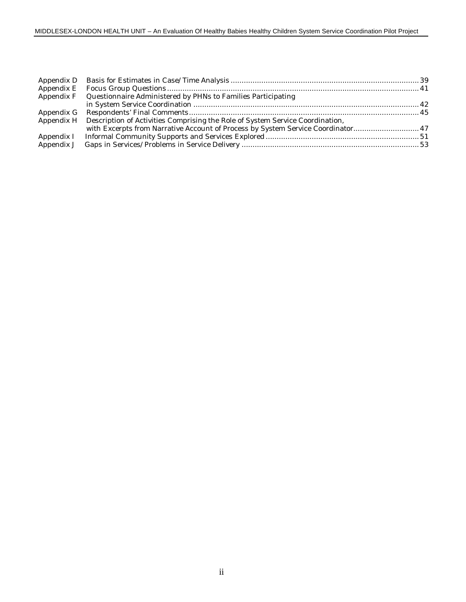| Appendix F Questionnaire Administered by PHNs to Families Participating                  |  |
|------------------------------------------------------------------------------------------|--|
|                                                                                          |  |
|                                                                                          |  |
| Appendix H Description of Activities Comprising the Role of System Service Coordination, |  |
| with Excerpts from Narrative Account of Process by System Service Coordinator 47         |  |
|                                                                                          |  |
|                                                                                          |  |
|                                                                                          |  |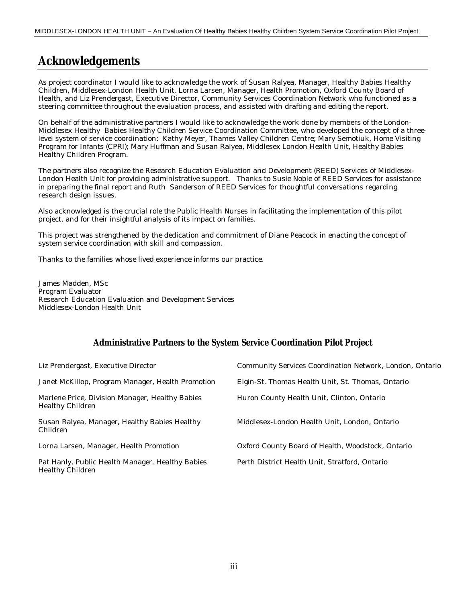## **Acknowledgements**

As project coordinator I would like to acknowledge the work of Susan Ralyea, Manager, Healthy Babies Healthy Children, Middlesex-London Health Unit, Lorna Larsen, Manager, Health Promotion, Oxford County Board of Health, and Liz Prendergast, Executive Director, Community Services Coordination Network who functioned as a steering committee throughout the evaluation process, and assisted with drafting and editing the report.

On behalf of the administrative partners I would like to acknowledge the work done by members of the London-Middlesex Healthy Babies Healthy Children Service Coordination Committee, who developed the concept of a threelevel system of service coordination: Kathy Meyer, Thames Valley Children Centre; Mary Semotiuk, Home Visiting Program for Infants (CPRI); Mary Huffman and Susan Ralyea, Middlesex London Health Unit, Healthy Babies Healthy Children Program.

The partners also recognize the Research Education Evaluation and Development (REED) Services of Middlesex-London Health Unit for providing administrative support. Thanks to Susie Noble of REED Services for assistance in preparing the final report and Ruth Sanderson of REED Services for thoughtful conversations regarding research design issues.

Also acknowledged is the crucial role the Public Health Nurses in facilitating the implementation of this pilot project, and for their insightful analysis of its impact on families.

This project was strengthened by the dedication and commitment of Diane Peacock in enacting the concept of system service coordination with skill and compassion.

Thanks to the families whose lived experience informs our practice.

James Madden, MSc Program Evaluator Research Education Evaluation and Development Services Middlesex-London Health Unit

### **Administrative Partners to the System Service Coordination Pilot Project**

| Liz Prendergast, Executive Director                                  | Community Services Coordination Network, London, Ontario |
|----------------------------------------------------------------------|----------------------------------------------------------|
| Janet McKillop, Program Manager, Health Promotion                    | Elgin-St. Thomas Health Unit, St. Thomas, Ontario        |
| Marlene Price, Division Manager, Healthy Babies<br>Healthy Children  | Huron County Health Unit, Clinton, Ontario               |
| Susan Ralyea, Manager, Healthy Babies Healthy<br>Children            | Middlesex-London Health Unit, London, Ontario            |
| Lorna Larsen, Manager, Health Promotion                              | Oxford County Board of Health, Woodstock, Ontario        |
| Pat Hanly, Public Health Manager, Healthy Babies<br>Healthy Children | Perth District Health Unit, Stratford, Ontario           |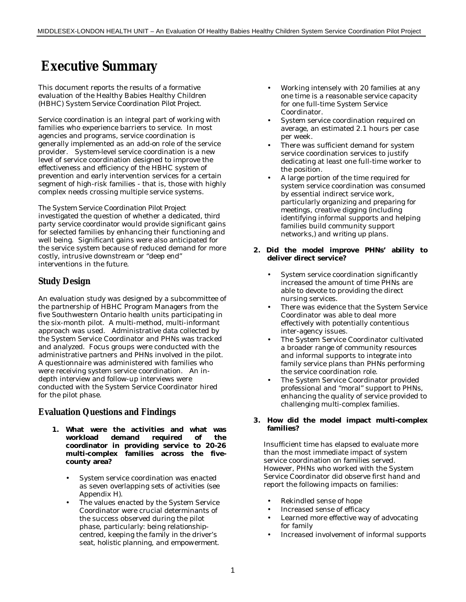## **Executive Summary**

This document reports the results of a formative evaluation of the Healthy Babies Healthy Children (HBHC) *System Service Coordination Pilot Project*.

*Service coordination* is an integral part of working with families who experience barriers to service. In most agencies and programs, service coordination is generally implemented as an *add-on* role of the service provider. *System-level* service coordination is a new level of service coordination designed to improve the effectiveness and efficiency of the HBHC system of prevention and early intervention services for a certain segment of high-risk families - that is, those with highly complex needs crossing multiple service systems.

*The System Service Coordination Pilot Project* investigated the question of whether a *dedicated, third party service coordinator* would provide significant gains for selected families by enhancing their functioning and well being. Significant gains were also anticipated for the service system because of reduced demand for more costly, intrusive downstream or "deep end" interventions in the future.

### **Study Design**

An evaluation study was designed by a subcommittee of the partnership of HBHC Program Managers from the five Southwestern Ontario health units participating in the six-month pilot. A multi-method, multi-informant approach was used. Administrative data collected by the System Service Coordinator and PHNs was tracked and analyzed. Focus groups were conducted with the administrative partners and PHNs involved in the pilot. A questionnaire was administered with families who were receiving system service coordination. An indepth interview and follow-up interviews were conducted with the System Service Coordinator hired for the pilot phase.

### **Evaluation Questions and Findings**

- **1. What were the activities and what was workload demand required of the coordinator in providing service to 20-26 multi-complex families across the fivecounty area?**
	- System service coordination was enacted as seven overlapping sets of activities (see Appendix H).
	- The values enacted by the System Service Coordinator were crucial determinants of the success observed during the pilot phase, particularly: being *relationshipcentred*, keeping the *family in the driver's seat*, *holistic planning*, and *empowerment.*
- Working intensely with 20 families at any one time is a reasonable service capacity for one full-time System Service Coordinator.
- System service coordination required on average, an estimated 2.1 hours per case per week.
- There was sufficient demand for system service coordination services to justify dedicating at least one full-time worker to the position.
- A large portion of the time required for system service coordination was consumed by essential indirect service work, particularly *organizing and preparing for meetings*, *creative digging* (including identifying informal supports and helping families build community support networks*,) and writing up plans.*

#### **2. Did the model improve PHNs' ability to deliver direct service?**

- System service coordination significantly increased the amount of time PHNs are able to devote to providing the direct nursing services.
- There was evidence that the System Service Coordinator was able to deal more effectively with potentially contentious inter-agency issues.
- The System Service Coordinator cultivated a broader range of community resources and informal supports to integrate into family service plans than PHNs performing the service coordination role.
- The System Service Coordinator provided professional and "moral" support to PHNs, enhancing the quality of service provided to challenging multi-complex families.

#### **3. How did the model impact multi-complex families?**

Insufficient time has elapsed to evaluate more than the most immediate impact of system service coordination on families served. However, PHNs who worked with the System Service Coordinator did observe first hand and report the following impacts on families:

- Rekindled sense of hope
- Increased sense of efficacy
- Learned more effective way of advocating for family
- Increased involvement of informal supports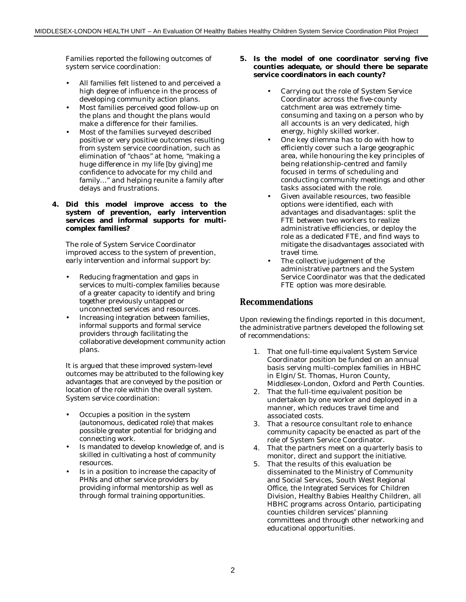Families reported the following outcomes of system service coordination:

- All families felt listened to and perceived a high degree of influence in the process of developing community action plans.
- Most families perceived good follow-up on the plans and thought the plans would make a difference for their families.
- Most of the families surveyed described positive or very positive outcomes resulting from system service coordination, such as elimination of "chaos" at home, "making a huge difference in my life [by giving] me confidence to advocate for my child and family…" and helping reunite a family after delays and frustrations.
- **4. Did this model improve access to the system of prevention, early intervention services and informal supports for multicomplex families?**

The role of System Service Coordinator improved access to the system of prevention, early intervention and informal support by:

- Reducing fragmentation and gaps in services to multi-complex families because of a greater capacity to identify and bring together previously untapped or unconnected services and resources.
- Increasing integration between families, informal supports and formal service providers through facilitating the collaborative development community action plans.

It is argued that these improved system-level outcomes may be attributed to the following key advantages that are conveyed by the position or location of the role within the overall system. System service coordination:

- Occupies a position in the system (autonomous, dedicated role) that makes possible greater potential for bridging and connecting work.
- Is mandated to develop knowledge of, and is skilled in cultivating a host of community resources.
- Is in a position to increase the capacity of PHNs and other service providers by providing informal mentorship as well as through formal training opportunities.

#### **5. Is the model of** *one coordinator serving five counties* **adequate, or should there be separate service coordinators in each county?**

- Carrying out the role of System Service Coordinator across the five-county catchment area was extremely timeconsuming and taxing on a person who by all accounts is an very dedicated, high energy, highly skilled worker.
- One key dilemma has to do with how to efficiently cover such a large geographic area, while honouring the key principles of being relationship-centred and family focused in terms of scheduling and conducting community meetings and other tasks associated with the role.
- Given available resources, two feasible options were identified, each with advantages and disadvantages: split the FTE between two workers to realize administrative efficiencies, or deploy the role as a dedicated FTE, and find ways to mitigate the disadvantages associated with travel time.
- The collective judgement of the administrative partners and the System Service Coordinator was that the dedicated FTE option was more desirable.

### **Recommendations**

Upon reviewing the findings reported in this document, the administrative partners developed the following set of recommendations:

- 1. That one full-time equivalent System Service Coordinator position be funded on an annual basis serving multi-complex families in HBHC in Elgin/St. Thomas, Huron County, Middlesex-London, Oxford and Perth Counties.
- 2. That the full-time equivalent position be undertaken by one worker and deployed in a manner, which reduces travel time and associated costs.
- 3. That a resource consultant role to enhance community capacity be enacted as part of the role of System Service Coordinator.
- 4. That the partners meet on a quarterly basis to monitor, direct and support the initiative.
- 5. That the results of this evaluation be disseminated to the Ministry of Community and Social Services, South West Regional Office, the Integrated Services for Children Division, Healthy Babies Healthy Children, all HBHC programs across Ontario, participating counties children services' planning committees and through other networking and educational opportunities.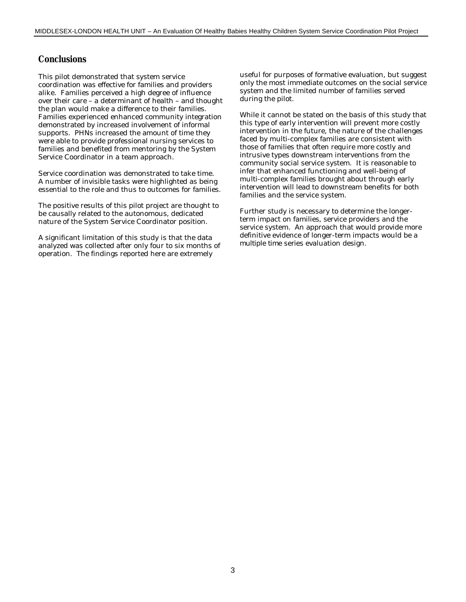### **Conclusions**

This pilot demonstrated that system service coordination was effective for families and providers alike. Families perceived a high degree of influence over their care – a determinant of health – and thought the plan would make a difference to their families. Families experienced enhanced community integration demonstrated by increased involvement of informal supports. PHNs increased the amount of time they were able to provide professional nursing services to families and benefited from mentoring by the System Service Coordinator in a team approach.

Service coordination was demonstrated to take time. A number of invisible tasks were highlighted as being essential to the role and thus to outcomes for families.

The positive results of this pilot project are thought to be causally related to the autonomous, dedicated nature of the System Service Coordinator position.

A significant limitation of this study is that the data analyzed was collected after only four to six months of operation. The findings reported here are extremely

useful for purposes of formative evaluation, but suggest only the most immediate outcomes on the social service system and the limited number of families served during the pilot.

While it cannot be stated on the basis of this study that this type of early intervention will prevent more costly intervention in the future, the nature of the challenges faced by multi-complex families are consistent with those of families that often require more costly and intrusive types downstream interventions from the community social service system. It is reasonable to infer that enhanced functioning and well-being of multi-complex families brought about through early intervention will lead to downstream benefits for both families and the service system.

Further study is necessary to determine the longerterm impact on families, service providers and the service system. An approach that would provide more definitive evidence of longer-term impacts would be a *multiple time series* evaluation design.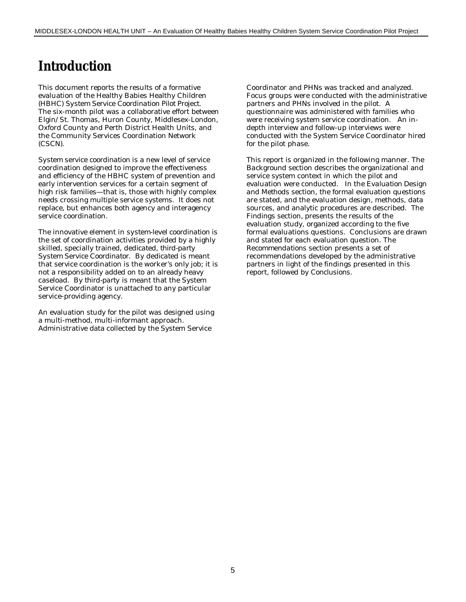## **Introduction**

This document reports the results of a formative evaluation of the Healthy Babies Healthy Children (HBHC) *System Service Coordination Pilot Project*. The six-month pilot was a collaborative effort between Elgin/St. Thomas, Huron County, Middlesex-London, Oxford County and Perth District Health Units, and the Community Services Coordination Network (CSCN).

*System service coordination* is a new level of service coordination designed to improve the effectiveness and efficiency of the HBHC system of prevention and early intervention services for a certain segment of high risk families—that is, those with highly complex needs crossing multiple service systems. It does not replace, but enhances both agency and interagency service coordination.

The innovative element in *system-level coordination* is the set of coordination activities provided by a highly skilled, specially trained, *dedicated, third-party System Service Coordinator.* By *dedicated* is meant that service coordination is the worker's only job; it is not a responsibility added on to an already heavy caseload. By *third-party* is meant that the System Service Coordinator is unattached to any particular service-providing agency.

An evaluation study for the pilot was designed using a multi-method, multi-informant approach. Administrative data collected by the System Service

Coordinator and PHNs was tracked and analyzed. Focus groups were conducted with the administrative partners and PHNs involved in the pilot. A questionnaire was administered with families who were receiving system service coordination. An indepth interview and follow-up interviews were conducted with the System Service Coordinator hired for the pilot phase.

This report is organized in the following manner. The *Background* section describes the organizational and service system context in which the pilot and evaluation were conducted. In the *Evaluation Design and Methods* section, the formal evaluation questions are stated, and the evaluation design, methods, data sources, and analytic procedures are described. The *Findings* section, presents the results of the evaluation study, organized according to the five formal evaluations questions. Conclusions are drawn and stated for each evaluation question. The *Recommendations* section presents a set of recommendations developed by the administrative partners in light of the findings presented in this report, followed by *Conclusions.*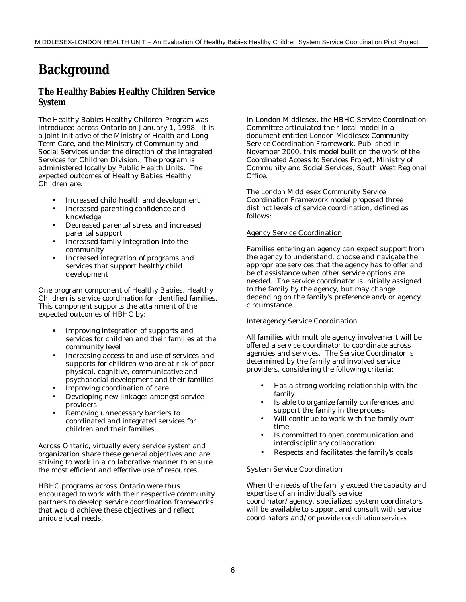## **Background**

### **The Healthy Babies Healthy Children Service System**

The Healthy Babies Healthy Children Program was introduced across Ontario on January 1, 1998. It is a joint initiative of the Ministry of Health and Long Term Care, and the Ministry of Community and Social Services under the direction of the Integrated Services for Children Division. The program is administered locally by Public Health Units. The expected outcomes of Healthy Babies Healthy Children are:

- Increased child health and development
- Increased parenting confidence and knowledge
- Decreased parental stress and increased parental support
- Increased family integration into the community
- Increased integration of programs and services that support healthy child development

One program component of Healthy Babies, Healthy Children is *service coordination* for identified families. This component supports the attainment of the expected outcomes of HBHC by:

- Improving integration of supports and services for children and their families at the community level
- Increasing access to and use of services and supports for children who are at risk of poor physical, cognitive, communicative and psychosocial development and their families
- Improving coordination of care
- Developing new linkages amongst service providers
- Removing unnecessary barriers to coordinated and integrated services for children and their families

Across Ontario, virtually every service system and organization share these general objectives and are striving to work in a collaborative manner to ensure the most efficient and effective use of resources.

HBHC programs across Ontario were thus encouraged to work with their respective community partners to develop service coordination frameworks that would achieve these objectives and reflect unique local needs.

In London Middlesex, the HBHC Service Coordination Committee articulated their local model in a document entitled *London-Middlesex Community Service Coordination Framework.* Published in November 2000, this model built on the work of the *Coordinated Access to Services Project*, Ministry of Community and Social Services, South West Regional Office.

The *London Middlesex Community Service Coordination Framework* model proposed three distinct levels of service coordination, defined as follows:

#### Agency Service Coordination

Families entering an agency can expect support from the agency to understand, choose and navigate the appropriate services that the agency has to offer and be of assistance when other service options are needed. The service coordinator is initially assigned to the family by the agency, but may change depending on the family's preference and/or agency circumstance.

#### Interagency Service Coordination

All families with multiple agency involvement will be offered a service coordinator to coordinate across agencies and services. The Service Coordinator is determined by the family and involved service providers, considering the following criteria:

- Has a strong working relationship with the family
- Is able to organize family conferences and support the family in the process
- Will continue to work with the family over time
- Is committed to open communication and interdisciplinary collaboration
- Respects and facilitates the family's goals

#### System Service Coordination

When the needs of the family exceed the capacity and expertise of an individual's service

coordinator/agency, specialized system coordinators will be available to support and consult with service coordinators and/or provide coordination services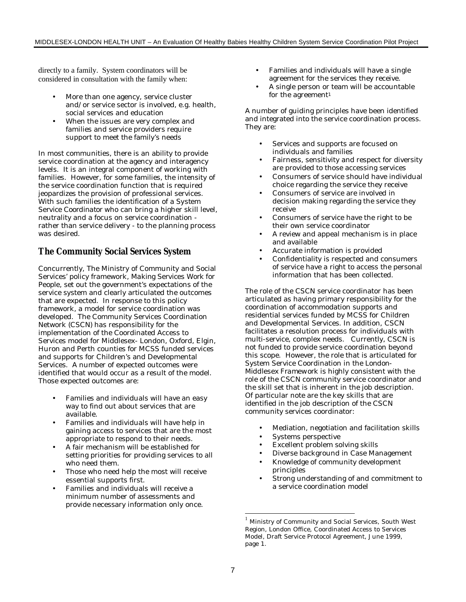directly to a family. System coordinators will be considered in consultation with the family when:

- More than one agency, service cluster and/or service sector is involved, e.g. health, social services and education
- When the issues are very complex and families and service providers require support to meet the family's needs

In most communities, there is an ability to provide service coordination at the agency and interagency levels. It is an integral component of working with families. However, for some families, the intensity of the service coordination function that is required jeopardizes the provision of professional services. With such families the identification of a *System Service Coordinator* who can bring a higher skill level, neutrality and a focus on service coordination rather than service delivery - to the planning process was desired.

### **The Community Social Services System**

Concurrently, The Ministry of Community and Social Services' policy framework, *Making Services Work for People*, set out the government's expectations of the service system and clearly articulated the outcomes that are expected. In response to this policy framework, a model for service coordination was developed. The Community Services Coordination Network (CSCN) has responsibility for the implementation of the Coordinated Access to Services model for Middlesex- London, Oxford, Elgin, Huron and Perth counties for MCSS funded services and supports for Children's and Developmental Services. A number of expected outcomes were identified that would occur as a result of the model. Those expected outcomes are:

- Families and individuals will have an easy way to find out about services that are available.
- Families and individuals will have help in gaining access to services that are the most appropriate to respond to their needs.
- A fair mechanism will be established for setting priorities for providing services to all who need them.
- Those who need help the most will receive essential supports first.
- Families and individuals will receive a minimum number of assessments and provide necessary information only once.
- Families and individuals will have a single agreement for the services they receive.
- A single person or team will be accountable for the agreement<sup>1</sup>

A number of guiding principles have been identified and integrated into the service coordination process. They are:

- Services and supports are focused on individuals and families
- Fairness, sensitivity and respect for diversity are provided to those accessing services
- Consumers of service should have individual choice regarding the service they receive
- Consumers of service are involved in decision making regarding the service they receive
- Consumers of service have the right to be their own service coordinator
- A review and appeal mechanism is in place and available
- Accurate information is provided
- Confidentiality is respected and consumers of service have a right to access the personal information that has been collected.

The role of the CSCN service coordinator has been articulated as having primary responsibility for the coordination of accommodation supports and residential services funded by MCSS for Children and Developmental Services. In addition, CSCN facilitates a resolution process for individuals with multi-service, complex needs. Currently, CSCN is not funded to provide service coordination beyond this scope. However, the role that is articulated for System Service Coordination in the *London-Middlesex Framework* is highly consistent with the role of the CSCN community service coordinator and the skill set that is inherent in the job description. Of particular note are the key skills that are identified in the job description of the CSCN community services coordinator:

- Mediation, negotiation and facilitation skills
- Systems perspective
- Excellent problem solving skills
- Diverse background in Case Management
- Knowledge of community development principles
- Strong understanding of and commitment to a service coordination model

-

<sup>&</sup>lt;sup>1</sup> Ministry of Community and Social Services, South West Region, London Office, Coordinated Access to Services Model, Draft Service Protocol Agreement, June 1999, page 1.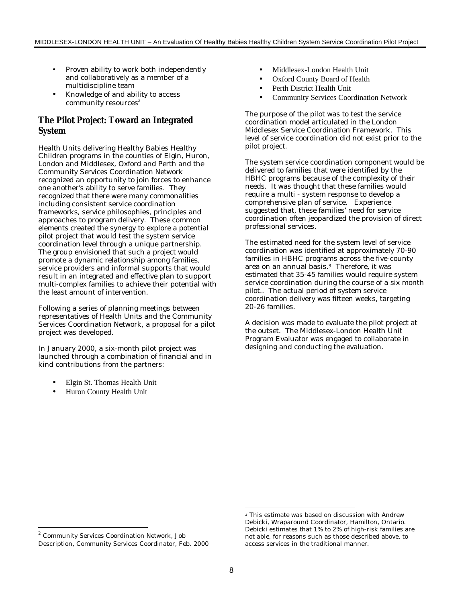- Proven ability to work both independently and collaboratively as a member of a multidiscipline team
- Knowledge of and ability to access community resources $2$

### **The Pilot Project: Toward an Integrated System**

Health Units delivering Healthy Babies Healthy Children programs in the counties of Elgin, Huron, London and Middlesex, Oxford and Perth and the Community Services Coordination Network recognized an opportunity to join forces to enhance one another's ability to serve families. They recognized that there were many commonalities including consistent service coordination frameworks, service philosophies, principles and approaches to program delivery. These common elements created the synergy to explore a potential pilot project that would test the system service coordination level through a unique partnership. The group envisioned that such a project would promote a dynamic relationship among families, service providers and informal supports that would result in an integrated and effective plan to support multi-complex families to achieve their potential with the least amount of intervention.

Following a series of planning meetings between representatives of Health Units and the Community Services Coordination Network, a proposal for a pilot project was developed.

In January 2000, a six-month pilot project was launched through a combination of financial and in kind contributions from the partners:

- Elgin St. Thomas Health Unit
- Huron County Health Unit
- Middlesex-London Health Unit
- Oxford County Board of Health
- Perth District Health Unit
- Community Services Coordination Network

The purpose of the pilot was to test the service coordination model articulated in the London Middlesex Service Coordination Framework. This level of service coordination did not exist prior to the pilot project.

The system service coordination component would be delivered to families that were identified by the HBHC programs because of the complexity of their needs. It was thought that these families would require a multi - system response to develop a comprehensive plan of service. Experience suggested that, these families' need for service coordination often jeopardized the provision of direct professional services.

The estimated need for the system level of service coordination was identified at approximately 70-90 families in HBHC programs across the five-county area on an annual basis.3 Therefore, it was estimated that 35-45 families would require system service coordination during the course of a six month pilot.. The actual period of system service coordination delivery was fifteen weeks, targeting 20-26 families.

A decision was made to evaluate the pilot project at the outset. The Middlesex-London Health Unit Program Evaluator was engaged to collaborate in designing and conducting the evaluation.

-

 2 Community Services Coordination Network, Job Description, Community Services Coordinator, Feb. 2000

<sup>3</sup> This estimate was based on discussion with Andrew Debicki, Wraparound Coordinator, Hamilton, Ontario. Debicki estimates that 1% to 2% of high-risk families are not able, for reasons such as those described above, to access services in the traditional manner.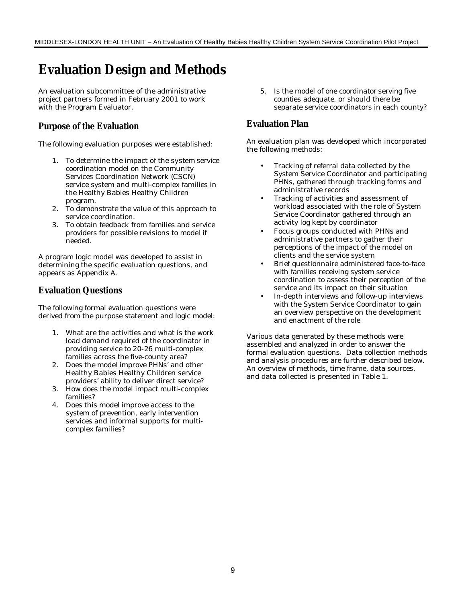## **Evaluation Design and Methods**

An evaluation subcommittee of the administrative project partners formed in February 2001 to work with the Program Evaluator.

### **Purpose of the Evaluation**

The following evaluation purposes were established:

- 1. To determine the impact of the *system service coordination* model on the Community Services Coordination Network (CSCN) service system and multi-complex families in the Healthy Babies Healthy Children program.
- 2. To demonstrate the value of this approach to service coordination.
- 3. To obtain feedback from families and service providers for possible revisions to model if needed.

A program logic model was developed to assist in determining the specific evaluation questions, and appears as Appendix A.

### **Evaluation Questions**

The following formal evaluation questions were derived from the purpose statement and logic model:

- 1. What are the activities and what is the work load demand required of the coordinator in providing service to 20-26 multi-complex families across the five-county area?
- 2. Does the model improve PHNs' and other Healthy Babies Healthy Children service providers' ability to deliver direct service?
- 3. How does the model impact multi-complex families?
- 4. Does this model improve access to the system of prevention, early intervention services and informal supports for multicomplex families?

5. Is the model of *one coordinator serving five counties* adequate, or should there be separate service coordinators in each county?

### **Evaluation Plan**

An evaluation plan was developed which incorporated the following methods:

- Tracking of referral data collected by the System Service Coordinator and participating PHNs, gathered through tracking forms and administrative records
- Tracking of activities and assessment of workload associated with the role of System Service Coordinator gathered through an activity log kept by coordinator
- Focus groups conducted with PHNs and administrative partners to gather their perceptions of the impact of the model on clients and the service system
- Brief questionnaire administered face-to-face with families receiving system service coordination to assess their perception of the service and its impact on their situation
- In-depth interviews and follow-up interviews with the System Service Coordinator to gain an overview perspective on the development and enactment of the role

Various data generated by these methods were assembled and analyzed in order to answer the formal evaluation questions. Data collection methods and analysis procedures are further described below. An overview of methods, time frame, data sources, and data collected is presented in Table 1.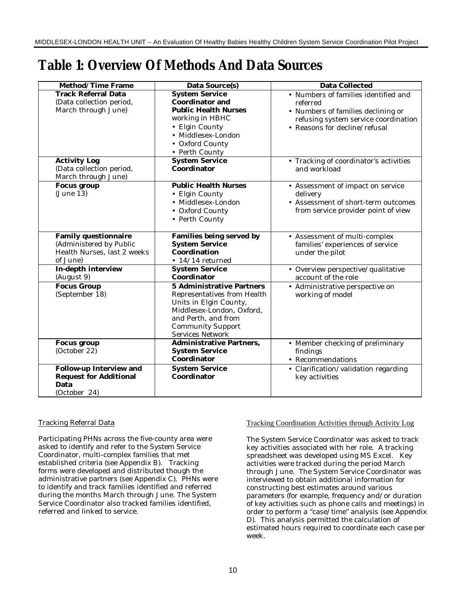## **Table 1: Overview Of Methods And Data Sources**

| <b>Method/Time Frame</b>                                                                          | <b>Data Source(s)</b>                                                                                                                                                                                | <b>Data Collected</b>                                                                                                                                           |
|---------------------------------------------------------------------------------------------------|------------------------------------------------------------------------------------------------------------------------------------------------------------------------------------------------------|-----------------------------------------------------------------------------------------------------------------------------------------------------------------|
| <b>Track Referral Data</b><br>(Data collection period,<br>March through June)                     | <b>System Service</b><br><b>Coordinator and</b><br><b>Public Health Nurses</b><br>working in HBHC<br>• Elgin County<br>• Middlesex-London<br>• Oxford County<br>• Perth County                       | • Numbers of families identified and<br>referred<br>• Numbers of families declining or<br>refusing system service coordination<br>• Reasons for decline/refusal |
| <b>Activity Log</b><br>(Data collection period,<br>March through June)                            | <b>System Service</b><br>Coordinator                                                                                                                                                                 | • Tracking of coordinator's activities<br>and workload                                                                                                          |
| <b>Focus group</b><br>(June 13)                                                                   | <b>Public Health Nurses</b><br>• Elgin County<br>· Middlesex-London<br>• Oxford County<br>• Perth County                                                                                             | • Assessment of impact on service<br>delivery<br>• Assessment of short-term outcomes<br>from service provider point of view                                     |
| <b>Family questionnaire</b><br>(Administered by Public<br>Health Nurses, last 2 weeks<br>of June) | <b>Families being served by</b><br><b>System Service</b><br>Coordination<br>$\bullet$ 14/14 returned                                                                                                 | • Assessment of multi-complex<br>families' experiences of service<br>under the pilot                                                                            |
| In-depth interview<br>(August 9)                                                                  | <b>System Service</b><br>Coordinator                                                                                                                                                                 | • Overview perspective/qualitative<br>account of the role                                                                                                       |
| <b>Focus Group</b><br>(September 18)                                                              | <b>5 Administrative Partners</b><br>Representatives from Health<br>Units in Elgin County,<br>Middlesex-London, Oxford,<br>and Perth, and from<br><b>Community Support</b><br><b>Services Network</b> | • Administrative perspective on<br>working of model                                                                                                             |
| <b>Focus group</b><br>(October 22)                                                                | <b>Administrative Partners,</b><br><b>System Service</b><br>Coordinator                                                                                                                              | • Member checking of preliminary<br>findings<br>• Recommendations                                                                                               |
| <b>Follow-up Interview and</b><br><b>Request for Additional</b><br>Data<br>(October 24)           | <b>System Service</b><br>Coordinator                                                                                                                                                                 | • Clarification/validation regarding<br>key activities                                                                                                          |

#### Tracking Referral Data

Participating PHNs across the five-county area were asked to identify and refer to the System Service Coordinator, multi-complex families that met established criteria (see Appendix B). Tracking forms were developed and distributed though the administrative partners (see Appendix C). PHNs were to identify and track families identified and referred during the months March through June. The System Service Coordinator also tracked families identified, referred and linked to service.

#### Tracking Coordination Activities through Activity Log

The System Service Coordinator was asked to track key activities associated with her role. A tracking spreadsheet was developed using MS Excel. Key activities were tracked during the period March through June. The System Service Coordinator was interviewed to obtain additional information for constructing best estimates around various parameters (for example, frequency and/or duration of key activities such as phone calls and meetings) in order to perform a "case/time" analysis (see Appendix D). This analysis permitted the calculation of estimated hours required to coordinate each case per week.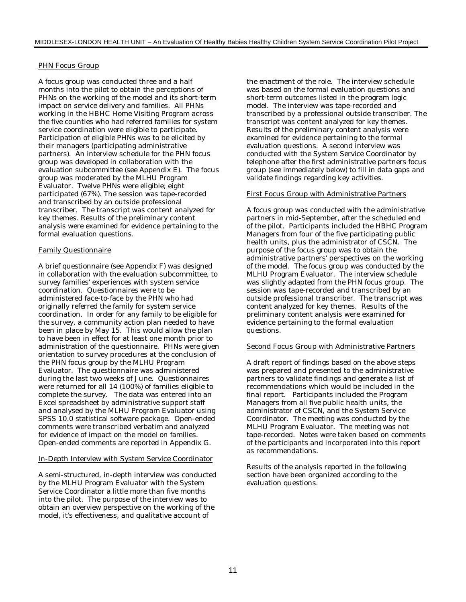#### PHN Focus Group

A focus group was conducted three and a half months into the pilot to obtain the perceptions of PHNs on the working of the model and its short-term impact on service delivery and families. All PHNs working in the HBHC Home Visiting Program across the five counties who had referred families for system service coordination were eligible to participate. Participation of eligible PHNs was to be elicited by their managers (participating administrative partners). An interview schedule for the PHN focus group was developed in collaboration with the evaluation subcommittee (see Appendix E). The focus group was moderated by the MLHU Program Evaluator. Twelve PHNs were eligible; eight participated (67%). The session was tape-recorded and transcribed by an outside professional transcriber. The transcript was content analyzed for key themes. Results of the preliminary content analysis were examined for evidence pertaining to the formal evaluation questions.

#### Family Questionnaire

A brief questionnaire (see Appendix F) was designed in collaboration with the evaluation subcommittee, to survey families' experiences with system service coordination. Questionnaires were to be administered face-to-face by the PHN who had originally referred the family for system service coordination. In order for any family to be eligible for the survey, a community action plan needed to have been in place by May 15. This would allow the plan to have been in effect for at least one month prior to administration of the questionnaire. PHNs were given orientation to survey procedures at the conclusion of the PHN focus group by the MLHU Program Evaluator. The questionnaire was administered during the last two weeks of June. Questionnaires were returned for all 14 (100%) of families eligible to complete the survey. The data was entered into an Excel spreadsheet by administrative support staff and analysed by the MLHU Program Evaluator using SPSS 10.0 statistical software package. Open-ended comments were transcribed verbatim and analyzed for evidence of impact on the model on families. Open-ended comments are reported in Appendix G.

#### In-Depth Interview with System Service Coordinator

A semi-structured, in-depth interview was conducted by the MLHU Program Evaluator with the System Service Coordinator a little more than five months into the pilot. The purpose of the interview was to obtain an overview perspective on the working of the model, it's effectiveness, and qualitative account of

the enactment of the role. The interview schedule was based on the formal evaluation questions and short-term outcomes listed in the program logic model. The interview was tape-recorded and transcribed by a professional outside transcriber. The transcript was content analyzed for key themes. Results of the preliminary content analysis were examined for evidence pertaining to the formal evaluation questions. A second interview was conducted with the System Service Coordinator by telephone after the first administrative partners focus group (see immediately below) to fill in data gaps and validate findings regarding key activities.

#### First Focus Group with Administrative Partners

A focus group was conducted with the administrative partners in mid-September, after the scheduled end of the pilot. Participants included the HBHC Program Managers from four of the five participating public health units, plus the administrator of CSCN. The purpose of the focus group was to obtain the administrative partners' perspectives on the working of the model. The focus group was conducted by the MLHU Program Evaluator. The interview schedule was slightly adapted from the PHN focus group. The session was tape-recorded and transcribed by an outside professional transcriber. The transcript was content analyzed for key themes. Results of the preliminary content analysis were examined for evidence pertaining to the formal evaluation questions.

#### Second Focus Group with Administrative Partners

A draft report of findings based on the above steps was prepared and presented to the administrative partners to validate findings and generate a list of recommendations which would be included in the final report. Participants included the Program Managers from all five public health units, the administrator of CSCN, and the System Service Coordinator. The meeting was conducted by the MLHU Program Evaluator. The meeting was not tape-recorded. Notes were taken based on comments of the participants and incorporated into this report as recommendations.

Results of the analysis reported in the following section have been organized according to the evaluation questions.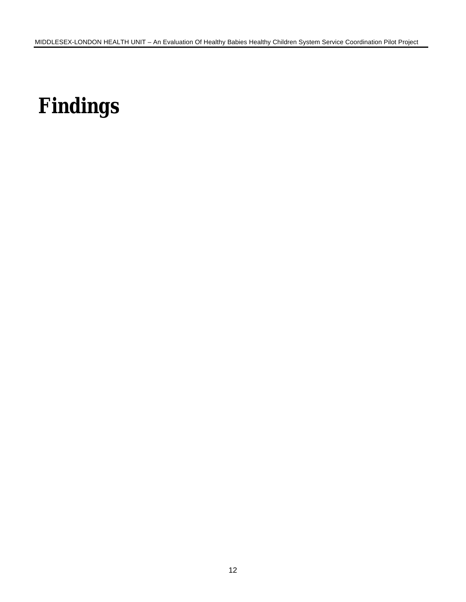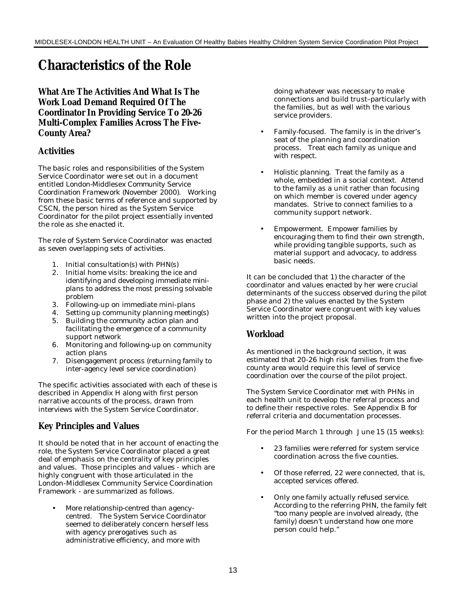## **Characteristics of the Role**

**What Are The Activities And What Is The Work Load Demand Required Of The Coordinator In Providing Service To 20-26 Multi-Complex Families Across The Five-County Area?**

### **Activities**

The basic roles and responsibilities of the System Service Coordinator were set out in a document entitled *London-Middlesex Community Service Coordination Framework* (November 2000). Working from these basic terms of reference and supported by CSCN, the person hired as the System Service Coordinator for the pilot project essentially invented the role as she enacted it.

The role of System Service Coordinator was enacted as seven overlapping sets of activities.

- 1. Initial consultation(s) with PHN(s)
- 2. Initial home visits: *breaking the ice* and identifying and developing immediate *miniplans* to address the most pressing solvable problem
- 3. Following-up on immediate mini-plans
- 4. Setting up community planning meeting(s)
- 5. Building the *community action plan* and facilitating the emergence of a community support network
- 6. Monitoring and following-up on community action plans
- 7. Disengagement process (returning family to inter-agency level service coordination)

The specific activities associated with each of these is described in Appendix H along with first person narrative accounts of the process, drawn from interviews with the System Service Coordinator.

### **Key Principles and Values**

It should be noted that in her account of enacting the role, the System Service Coordinator placed a great deal of emphasis on the centrality of key principles and values. Those principles and values - which are highly congruent with those articulated in the London-Middlesex Community Service Coordination Framework - are summarized as follows.

• *More relationship-centred than agencycentred*. The System Service Coordinator seemed to deliberately concern herself less with agency prerogatives such as administrative efficiency, and more with

doing whatever was necessary to make connections and build trust–particularly with the families, but as well with the various service providers.

- *Family-focused.* The family is *in the driver's seat* of the planning and coordination process. Treat each family as unique and with respect.
- *Holistic planning.* Treat the family as a whole, embedded in a social context. Attend to the family as a unit rather than focusing on which member is covered under agency mandates. Strive to connect families to a community support network.
- *Empowerment.* Empower families by encouraging them to find their own strength, while providing tangible supports, such as material support and advocacy, to address basic needs.

It can be concluded that 1) the character of the coordinator and values enacted by her were crucial determinants of the success observed during the pilot phase and 2) the values enacted by the System Service Coordinator were congruent with key values written into the project proposal.

### **Workload**

As mentioned in the background section, it was estimated that 20-26 high risk families from the fivecounty area would require this level of service coordination over the course of the pilot project.

The System Service Coordinator met with PHNs in each health unit to develop the referral process and to define their respective roles. See Appendix B for referral criteria and documentation processes.

For the period March 1 through June 15 (15 weeks):

- 23 families were referred for system service coordination across the five counties.
- Of those referred, 22 were connected, that is, accepted services offered.
- Only one family actually refused service. According to the referring PHN, the family felt "too many people are involved already, (the family) doesn't understand how one more person could help."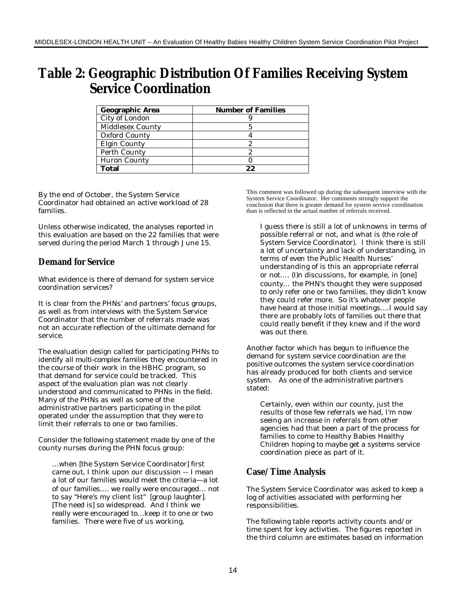## **Table 2: Geographic Distribution Of Families Receiving System Service Coordination**

| Geographic Area<br><b>Number of Families</b> |    |
|----------------------------------------------|----|
| City of London                               |    |
| Middlesex County                             |    |
| Oxford County                                |    |
| Elgin County                                 |    |
| Perth County                                 |    |
| <b>Huron County</b>                          |    |
| <b>Total</b>                                 | 99 |

By the end of October, the System Service Coordinator had obtained an active workload of 28 families.

Unless otherwise indicated, the analyses reported in this evaluation are based on the 22 families that were served during the period March 1 through June 15.

### **Demand for Service**

What evidence is there of demand for system service coordination services?

It is clear from the PHNs' and partners' focus groups, as well as from interviews with the System Service Coordinator that the number of referrals made was not an accurate reflection of the ultimate demand for service.

The evaluation design called for participating PHNs to *identify all multi-complex families* they encountered in the course of their work in the HBHC program, so that demand for service could be tracked. This aspect of the evaluation plan was not clearly understood and communicated to PHNs in the field. Many of the PHNs as well as some of the administrative partners participating in the pilot operated under the assumption that they were to limit their referrals to one or two families.

Consider the following statement made by one of the county nurses during the PHN focus group:

…when [the System Service Coordinator] first came out, I think upon our discussion -- I mean a lot of our families would meet the criteria—a lot of our families…. we really were encouraged… not to say "Here's my client list" [group laughter]. [The need is] so widespread. And I think we really were encouraged to…keep it to one or two families. There were five of us working.

This comment was followed up during the subsequent interview with the System Service Coordinator. Her comments strongly support the conclusion that there is greater demand for system service coordination than is reflected in the actual number of referrals received.

I guess there is still a lot of unknowns in terms of possible referral or not, and what is (the role of System Service Coordinator). I think there is still a lot of uncertainty and lack of understanding, in terms of even the Public Health Nurses' understanding of is this an appropriate referral or not…. (I)n discussions, for example, in [one] county… the PHN's thought they were supposed to only refer one or two families, they didn't know they could refer more. So it's whatever people have heard at those initial meetings….I would say there are probably lots of families out there that could really benefit if they knew and if the word was out there.

Another factor which has begun to influence the demand for system service coordination are the positive outcomes the system service coordination has already produced for both clients and service system. As one of the administrative partners stated:

Certainly, even within our county, just the results of those few referrals we had, I'm now seeing an increase in referrals from other agencies had that been a part of the process for families to come to Healthy Babies Healthy Children hoping to maybe get a systems service coordination piece as part of it.

### **Case/Time Analysis**

The System Service Coordinator was asked to keep a log of activities associated with performing her responsibilities.

The following table reports activity counts and/or time spent for key activities. The figures reported in the third column are estimates based on information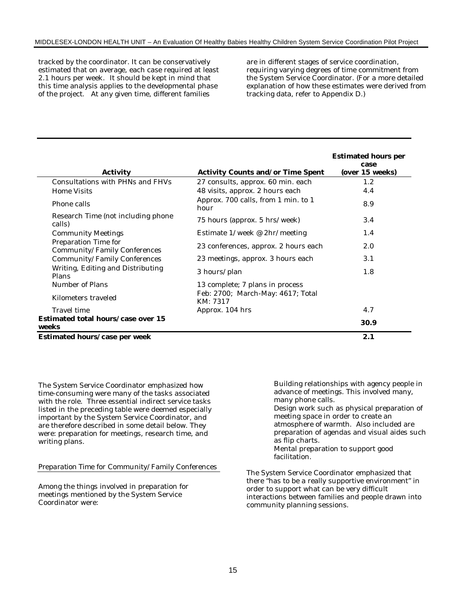tracked by the coordinator. It can be conservatively estimated that on average, each case required at least 2.1 hours per week.It should be kept in mind that this time analysis applies to the developmental phase of the project. At any given time, different families

are in different stages of service coordination, requiring varying degrees of time commitment from the System Service Coordinator. (For a more detailed explanation of how these estimates were derived from tracking data, refer to Appendix D.)

| <b>Activity</b>                                      | <b>Activity Counts and/or Time Spent</b>      | <b>Estimated hours per</b><br>case<br>(over 15 weeks) |
|------------------------------------------------------|-----------------------------------------------|-------------------------------------------------------|
| Consultations with PHNs and FHVs                     | 27 consults, approx. 60 min. each             | 1.2                                                   |
| Home Visits                                          | 48 visits, approx. 2 hours each               | 4.4                                                   |
| Phone calls                                          | Approx. 700 calls, from 1 min. to 1<br>hour   | 8.9                                                   |
| Research Time (not including phone<br>calls)         | 75 hours (approx. 5 hrs/week)                 | 3.4                                                   |
| <b>Community Meetings</b>                            | Estimate $1$ /week @ 2hr/meeting              | 1.4                                                   |
| Preparation Time for<br>Community/Family Conferences | 23 conferences, approx. 2 hours each          | 2.0                                                   |
| Community/Family Conferences                         | 23 meetings, approx. 3 hours each             | 3.1                                                   |
| Writing, Editing and Distributing<br>Plans           | 3 hours/plan                                  | 1.8                                                   |
| Number of Plans                                      | 13 complete; 7 plans in process               |                                                       |
| Kilometers traveled                                  | Feb: 2700; March-May: 4617; Total<br>KM: 7317 |                                                       |
| Travel time                                          | Approx. 104 hrs                               | 4.7                                                   |
| Estimated total hours/case over 15<br>weeks          |                                               | 30.9                                                  |
| Estimated hours/case per week                        |                                               | 2.1                                                   |

The System Service Coordinator emphasized how time-consuming were many of the tasks associated with the role. Three essential indirect service tasks listed in the preceding table were deemed especially important by the System Service Coordinator, and are therefore described in some detail below. They were: preparation for meetings, research time, and writing plans.

#### *Preparation Time* for Community/Family Conferences

Among the things involved in preparation for meetings mentioned by the System Service Coordinator were:

Building relationships with agency people in advance of meetings. This involved many, many phone calls.

*Design work* such as physical preparation of meeting space in order to create an atmosphere of warmth. Also included are preparation of agendas and visual aides such as flip charts.

Mental preparation to support good facilitation.

The System Service Coordinator emphasized that there "has to be a really supportive environment" in order to support what can be very difficult interactions between families and people drawn into community planning sessions.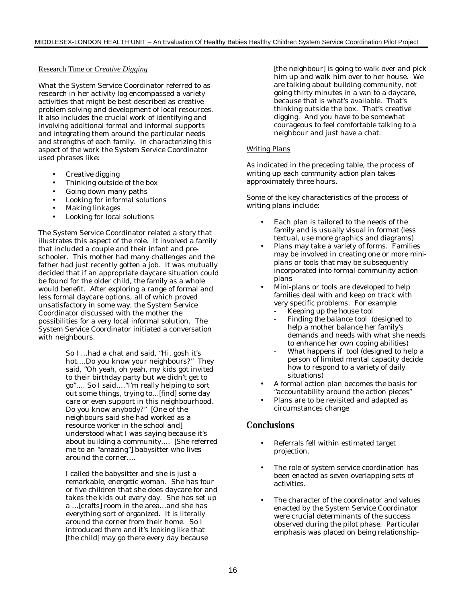#### Research Time or *Creative Digging*

What the System Service Coordinator referred to as *research* in her activity log encompassed a variety activities that might be best described as creative problem solving and development of local resources. It also includes the crucial work of identifying and involving additional formal and informal supports and integrating them around the particular needs and strengths of each family. In characterizing this aspect of the work the System Service Coordinator used phrases like:

- Creative digging
- Thinking outside of the box
- Going down many paths
- Looking for informal solutions
- Making linkages
- Looking for local solutions

The System Service Coordinator related a story that illustrates this aspect of the role. It involved a family that included a couple and their infant and preschooler. This mother had many challenges and the father had just recently gotten a job. It was mutually decided that if an appropriate daycare situation could be found for the older child, the family as a whole would benefit. After exploring a range of formal and less formal daycare options, all of which proved unsatisfactory in some way, the System Service Coordinator discussed with the mother the possibilities for a very local informal solution. The System Service Coordinator initiated a conversation with neighbours.

> So I …had a chat and said, "Hi, gosh it's hot….Do you know your neighbours?" They said, "Oh yeah, oh yeah, my kids got invited to their birthday party but we didn't get to go"…. So I said…."I'm really helping to sort out some things, trying to…[find] some day care or even support in this neighbourhood. Do you know anybody?" [One of the neighbours said she had worked as a resource worker in the school and] understood what I was saying because it's about building a community…. [She referred me to an "amazing"] babysitter who lives around the corner….

> I called the babysitter and she is just a remarkable, energetic woman. She has four or five children that she does daycare for and takes the kids out every day. She has set up a …[crafts] room in the area…and she has everything sort of organized. It is literally around the corner from their home. So I introduced them and it's looking like that [the child] may go there every day because

[the neighbour] is going to walk over and pick him up and walk him over to her house. We are talking about building community, not going thirty minutes in a van to a daycare, because that is what's available. That's thinking outside the box. That's creative digging. And you have to be somewhat courageous to feel comfortable talking to a neighbour and just have a chat.

#### *Writing Plans*

As indicated in the preceding table, the process of writing up each *community action plan* takes approximately three hours.

Some of the key characteristics of the process of writing plans include:

- Each plan is tailored to the needs of the family and is usually *visual* in format (less textual, use more graphics and diagrams)
- Plans may take a variety of forms. Families may be involved in creating one or more *miniplans* or *tools* that may be subsequently incorporated into formal community action plans
- Mini-plans or tools are developed to help families deal with and keep on track with very specific problems. For example:
	- *Keeping up the house* tool
	- *Finding the balance* tool (designed to help a mother balance her family's demands and needs with what she needs to enhance her own coping abilities)
	- What happens if tool (designed to help a person of limited mental capacity decide how to respond to a variety of daily situations)
- A formal action plan becomes the basis for "accountability around the action pieces"
- Plans are to be revisited and adapted as circumstances change

#### **Conclusions**

- Referrals fell within estimated target projection.
- The role of system service coordination has been enacted as seven overlapping sets of activities.
- The character of the coordinator and values enacted by the System Service Coordinator were crucial determinants of the success observed during the pilot phase. Particular emphasis was placed on being *relationship-*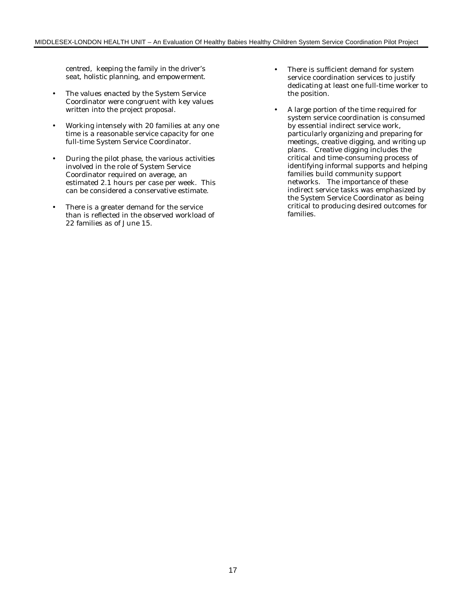*centred*, keeping the *family in the driver's seat*, *holistic planning*, and *empowerment.*

- The values enacted by the System Service Coordinator were congruent with key values written into the project proposal.
- Working intensely with 20 families at any one time is a reasonable service capacity for one full-time System Service Coordinator.
- During the pilot phase, the various activities involved in the role of System Service Coordinator required on average, an estimated 2.1 hours per case per week. This can be considered a conservative estimate.
- There is a greater demand for the service than is reflected in the observed workload of 22 families as of June 15.
- There is sufficient demand for system service coordination services to justify dedicating at least one full-time worker to the position.
- A large portion of the time required for system service coordination is consumed by essential indirect service work, particularly *organizing and preparing for meetings*, *creative digging, and writing up plans*. *Creative digging* includes the critical and time-consuming process of identifying informal supports and helping families build community support networks. The importance of these indirect service tasks was emphasized by the System Service Coordinator as being critical to producing desired outcomes for families.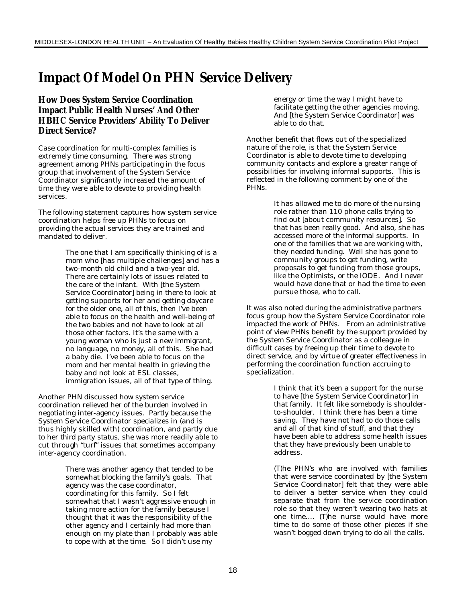## **Impact Of Model On PHN Service Delivery**

### **How Does System Service Coordination Impact Public Health Nurses' And Other HBHC Service Providers' Ability To Deliver Direct Service?**

Case coordination for multi-complex families is extremely time consuming. There was strong agreement among PHNs participating in the focus group that involvement of the System Service Coordinator significantly increased the amount of time they were able to devote to providing health services.

The following statement captures how system service coordination helps free up PHNs to focus on providing the actual services they are trained and mandated to deliver.

> The one that I am specifically thinking of is a mom who [has multiple challenges] and has a two-month old child and a two-year old. There are certainly lots of issues related to the care of the infant. With [the System Service Coordinator] being in there to look at getting supports for her and getting daycare for the older one, all of this, then I've been able to focus on the health and well-being of the two babies and not have to look at all those other factors. It's the same with a young woman who is just a new immigrant, no language, no money, all of this. She had a baby die. I've been able to focus on the mom and her mental health in grieving the baby and not look at ESL classes, immigration issues, all of that type of thing.

Another PHN discussed how system service coordination relieved her of the burden involved in negotiating inter-agency issues. Partly because the System Service Coordinator *specializes* in (and is thus highly skilled with) coordination, and partly due to her *third party status*, she was more readily able to cut through "turf" issues that sometimes accompany inter-agency coordination.

> There was another agency that tended to be somewhat blocking the family's goals. That agency was the case coordinator, coordinating for this family. So I felt somewhat that I wasn't aggressive enough in taking more action for the family because I thought that it was the responsibility of the other agency and I certainly had more than enough on my plate than I probably was able to cope with at the time. So I didn't use my

energy or time the way I might have to facilitate getting the other agencies moving. And [the System Service Coordinator] was able to do that.

Another benefit that flows out of the specialized nature of the role, is that the System Service Coordinator is able to devote time to developing community contacts and explore a greater range of possibilities for involving informal supports. This is reflected in the following comment by one of the PHNs.

> It has allowed me to do more of the nursing role rather than 110 phone calls trying to find out [about community resources]. So that has been really good. And also, she has accessed more of the informal supports. In one of the families that we are working with, they needed funding. Well she has gone to community groups to get funding, write proposals to get funding from those groups, like the Optimists, or the IODE. And I never would have done that or had the time to even pursue those, who to call.

It was also noted during the administrative partners focus group how the System Service Coordinator role impacted the work of PHNs. From an administrative point of view PHNs benefit by the support provided by the System Service Coordinator as a colleague in difficult cases by freeing up their time to devote to direct service, and by virtue of greater effectiveness in performing the coordination function accruing to specialization.

> I think that it's been a support for the nurse to have [the System Service Coordinator] in that family. It felt like somebody is shoulderto-shoulder. I think there has been a time saving. They have not had to do those calls and all of that kind of stuff, and that they have been able to address some health issues that they have previously been unable to address.

(T)he PHN's who are involved with families that were service coordinated by [the System Service Coordinator] felt that they were able to deliver a better service when they could separate that from the service coordination role so that they weren't wearing two hats at one time…. (T)he nurse would have more time to do some of those other pieces if she wasn't bogged down trying to do all the calls.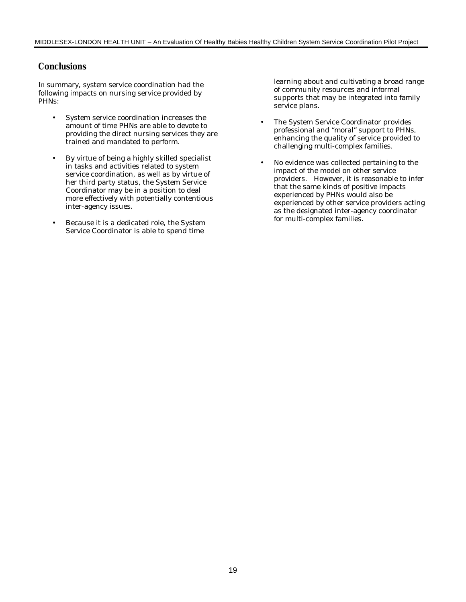### **Conclusions**

In summary, system service coordination had the following impacts on nursing service provided by PHNs:

- System service coordination increases the amount of time PHNs are able to devote to providing the direct nursing services they are trained and mandated to perform.
- By virtue of being a highly skilled specialist in tasks and activities related to system service coordination, as well as by virtue of her third party status, the System Service Coordinator may be in a position to deal more effectively with potentially contentious inter-agency issues.
- Because it is a dedicated role, the System Service Coordinator is able to spend time

learning about and cultivating a broad range of community resources and informal supports that may be integrated into family service plans.

- The System Service Coordinator provides professional and "moral" support to PHNs, enhancing the quality of service provided to challenging multi-complex families.
- No evidence was collected pertaining to the impact of the model on other service providers. However, it is reasonable to infer that the same kinds of positive impacts experienced by PHNs would also be experienced by other service providers acting as the designated inter-agency coordinator for multi-complex families.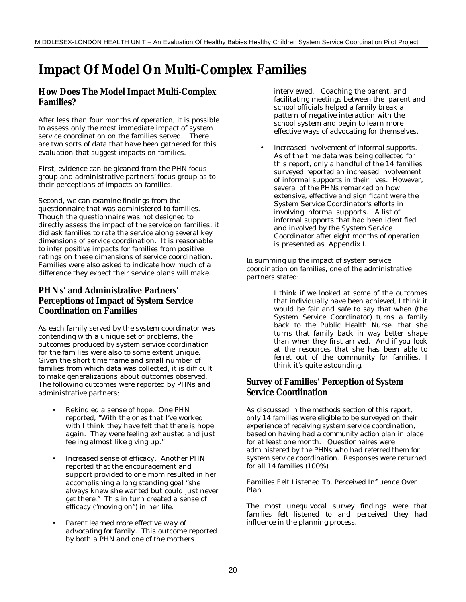## **Impact Of Model On Multi-Complex Families**

### **How Does The Model Impact Multi-Complex Families?**

After less than four months of operation, it is possible to assess only the most immediate impact of system service coordination on the families served. There are two sorts of data that have been gathered for this evaluation that suggest impacts on families.

First, evidence can be gleaned from the PHN focus group and administrative partners' focus group as to their perceptions of impacts on families.

Second, we can examine findings from the questionnaire that was administered to families. Though the questionnaire was not designed to directly assess the impact of the service on families, it did ask families to rate the service along several key dimensions of service coordination. It is reasonable to infer positive impacts for families from positive ratings on these dimensions of service coordination. Families were also asked to indicate how much of a difference they expect their service plans will make.

### **PHNs' and Administrative Partners' Perceptions of Impact of System Service Coordination on Families**

As each family served by the system coordinator was contending with a unique set of problems, the outcomes produced by system service coordination for the families were also to some extent unique. Given the short time frame and small number of families from which data was collected, it is difficult to make generalizations about outcomes observed. The following outcomes were reported by PHNs and administrative partners:

- *Rekindled a sense of hope.* One PHN reported, "With the ones that I've worked with I think they have felt that there is hope again. They were feeling exhausted and just feeling almost like giving up."
- *Increased sense of efficacy.* Another PHN reported that the encouragement and support provided to one mom resulted in her accomplishing a long standing goal "she always knew she wanted but could just never get there." This in turn created a sense of efficacy ("moving on") in her life.
- *Parent learned more effective way of advocating for family.* This outcome reported by both a PHN and one of the mothers

interviewed. Coaching the parent, and facilitating meetings between the parent and school officials helped a family break a pattern of negative interaction with the school system and begin to learn more effective ways of advocating for themselves.

• *Increased involvement of informal supports.* As of the time data was being collected for this report, only a handful of the 14 families surveyed reported an increased involvement of informal supports in their lives. However, several of the PHNs remarked on how extensive, effective and significant were the System Service Coordinator's efforts in involving informal supports. A list of informal supports that had been identified and involved by the System Service Coordinator after eight months of operation is presented as Appendix I.

In summing up the impact of system service coordination on families, one of the administrative partners stated:

> I think if we looked at some of the outcomes that individually have been achieved, I think it would be fair and safe to say that when (the System Service Coordinator) turns a family back to the Public Health Nurse, that she turns that family back in way better shape than when they first arrived. And if you look at the resources that she has been able to ferret out of the community for families, I think it's quite astounding.

### **Survey of Families' Perception of System Service Coordination**

As discussed in the methods section of this report, only 14 families were eligible to be surveyed on their experience of receiving system service coordination, based on having had a *community action plan* in place for at least one month. Questionnaires were administered by the PHNs who had referred them for system service coordination. Responses were returned for all 14 families (100%).

#### Families Felt Listened To, Perceived Influence Over Plan

The most unequivocal survey findings were that *families felt listened to* and perceived they *had influence* in the planning process.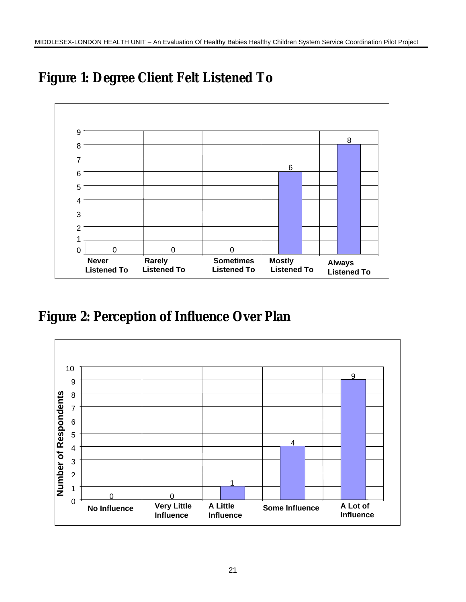

## **Figure 1: Degree Client Felt Listened To**

## **Figure 2: Perception of Influence Over Plan**

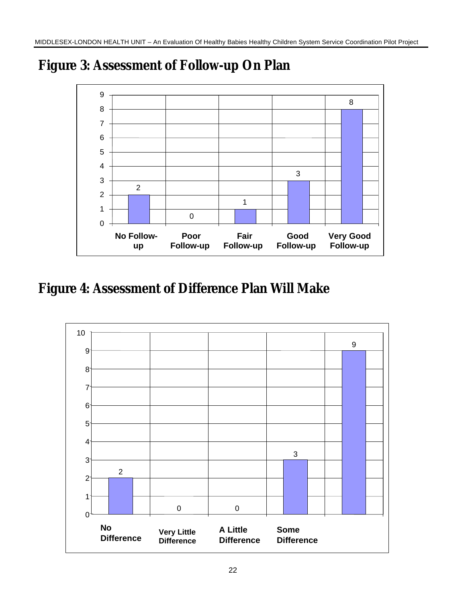

## **Figure 3: Assessment of Follow-up On Plan**

## **Figure 4: Assessment of Difference Plan Will Make**

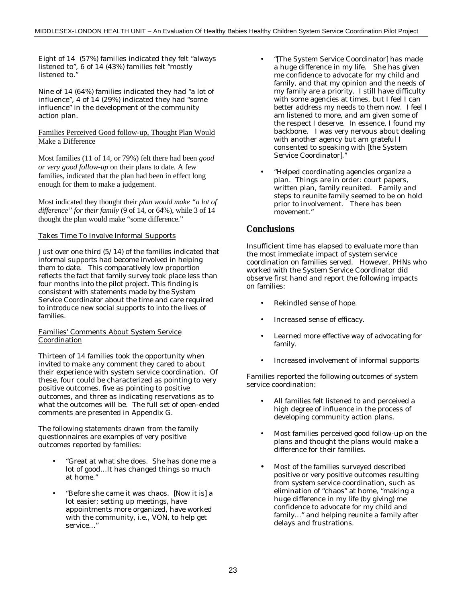Eight of 14 (57%) families indicated they felt "always listened to", 6 of 14 (43%) families felt "mostly listened to."

Nine of 14 (64%) families indicated they had "a lot of influence", 4 of 14 (29%) indicated they had "some influence" in the development of the community action plan.

#### Families Perceived Good follow-up, Thought Plan Would Make a Difference

Most families (11 of 14, or 79%) felt there had been *good or very good follow-up* on their plans to date. A few families, indicated that the plan had been in effect long enough for them to make a judgement.

Most indicated they thought their *plan would make "a lot of difference" for their family* (9 of 14, or 64%), while 3 of 14 thought the plan would make "some difference."

#### Takes Time To Involve Informal Supports

Just over one third (5/14) of the families indicated that informal supports had become involved in helping them to date. This comparatively low proportion reflects the fact that family survey took place less than four months into the pilot project. This finding is consistent with statements made by the System Service Coordinator about the time and care required to introduce new social supports to into the lives of families.

#### Families' Comments About System Service **Coordination**

Thirteen of 14 families took the opportunity when invited to make any comment they cared to about their experience with system service coordination. Of these, four could be characterized as pointing to very positive outcomes, five as pointing to positive outcomes, and three as indicating reservations as to what the outcomes will be. The full set of open-ended comments are presented in Appendix G.

The following statements drawn from the family questionnaires are examples of very positive outcomes reported by families:

- "Great at what she does. She has done me a lot of good…It has changed things so much at home."
- "Before she came it was chaos. [Now it is] a lot easier; setting up meetings, have appointments more organized, have worked with the community, i.e., VON, to help get service…"
- "[The System Service Coordinator] has made a huge difference in my life. She has given me confidence to advocate for my child and family, and that my opinion and the needs of my family are a priority. I still have difficulty with some agencies at times, but I feel I can better address my needs to them now. I feel I am listened to more, and am given some of the respect I deserve. In essence, I found my backbone. I was very nervous about dealing with another agency but am grateful I consented to speaking with [the System Service Coordinator]."
- "Helped coordinating agencies organize a plan. Things are in order: court papers, written plan, family reunited. Family and steps to reunite family seemed to be on hold prior to involvement. There has been movement."

### **Conclusions**

Insufficient time has elapsed to evaluate more than the most immediate impact of system service coordination on families served. However, PHNs who worked with the System Service Coordinator did observe first hand and report the following impacts on families:

- Rekindled sense of hope.
- Increased sense of efficacy.
- Learned more effective way of advocating for family.
- Increased involvement of informal supports

Families reported the following outcomes of system service coordination:

- All families felt listened to and perceived a high degree of influence in the process of developing community action plans.
- Most families perceived good follow-up on the plans and thought the plans would make a difference for their families.
- Most of the families surveyed described positive or very positive outcomes resulting from system service coordination, such as elimination of "chaos" at home, "making a huge difference in my life (by giving) me confidence to advocate for my child and family…" and helping reunite a family after delays and frustrations.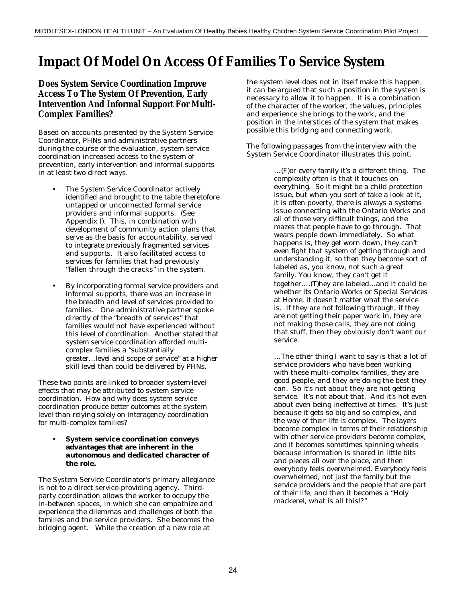## **Impact Of Model On Access Of Families To Service System**

### **Does System Service Coordination Improve Access To The System Of Prevention, Early Intervention And Informal Support For Multi-Complex Families?**

Based on accounts presented by the System Service Coordinator, PHNs and administrative partners during the course of the evaluation, system service coordination increased access to the system of prevention, early intervention and informal supports in at least two direct ways.

- The System Service Coordinator actively identified and brought to the table theretofore untapped or unconnected formal service providers and informal supports. (See Appendix I). This, in combination with development of community action plans that serve as the basis for accountability, served to integrate previously fragmented services and supports. It also facilitated access to services for families that had previously "fallen through the cracks" in the system.
- By incorporating formal service providers and informal supports, there was an increase in the *breadth* and *level* of services provided to families. One administrative partner spoke directly of the "breadth of services" that families would not have experienced without this level of coordination. Another stated that system service coordination afforded multicomplex families a "substantially greater…level and scope of service" at a higher skill level than could be delivered by PHNs.

These two points are linked to broader *system-level* effects that may be attributed to system service coordination. How and why does system service coordination produce *better outcomes at the system level* than relying solely on interagency coordination for multi-complex families?

#### • **System service coordination conveys advantages that are inherent in the** *autonomous* **and** *dedicated* **character of the role.**

The System Service Coordinator's primary allegiance is not to a direct service-providing agency. Thirdparty coordination allows the worker to occupy the in-between spaces, in which she can empathize and experience the dilemmas and challenges of both the families and the service providers. She becomes the bridging agent. While the creation of a new role at

the system level does not in itself make this happen, it can be argued that such a position in the system is necessary to *allow* it to happen. It is a combination of the character of the worker, the values, principles and experience she brings to the work, and the position in the interstices of the system that makes possible this bridging and connecting work.

The following passages from the interview with the System Service Coordinator illustrates this point.

> …(F)or every family it's a different thing. The complexity often is that it touches on everything. So it might be a child protection issue, but when you sort of take a look at it, it is often poverty, there is always a systems issue connecting with the Ontario Works and all of those very difficult things, and the mazes that people have to go through. That wears people down immediately. So what happens is, they get worn down, they can't even fight that system of getting through and understanding it, so then they become sort of labeled as, you know, not such a great family. You know, they can't get it together….(T)hey are labeled…and it could be whether its Ontario Works or Special Services at Home, it doesn't matter what the service is. If they are not following through, if they are not getting their paper work in, they are not making those calls, they are not doing that stuff, then they obviously don't want our service.

> …The other thing I want to say is that a lot of service providers who have been working with these multi-complex families, they are good people, and they are doing the best they can. So it's not about they are not getting service. It's not about that. And it's not even about even being ineffective at times. It's just because it gets so big and so complex, and the way of their life is complex. The layers become complex in terms of their relationship with other service providers become complex, and it becomes sometimes spinning wheels because information is shared in little bits and pieces all over the place, and then everybody feels overwhelmed. Everybody feels overwhelmed, not just the family but the service providers and the people that are part of their life, and then it becomes a "Holy mackerel, what is all this!?"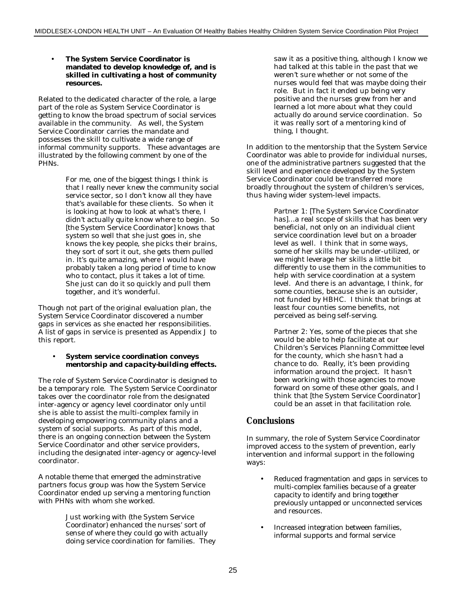#### • **The System Service Coordinator is mandated to develop knowledge of, and is skilled in cultivating a host of community resources.**

Related to the dedicated character of the role, a large part of the role as System Service Coordinator is getting to know the broad spectrum of social services available in the community. As well, the System Service Coordinator carries the mandate and possesses the skill to cultivate a wide range of informal community supports. These advantages are illustrated by the following comment by one of the PHNs.

> For me, one of the biggest things I think is that I really never knew the community social service sector, so I don't know all they have that's available for these clients. So when it is looking at how to look at what's there, I didn't actually quite know where to begin. So [the System Service Coordinator] knows that system so well that she just goes in, she knows the key people, she picks their brains, they sort of sort it out, she gets them pulled in. It's quite amazing, where I would have probably taken a long period of time to know who to contact, plus it takes a lot of time. She just can do it so quickly and pull them together, and it's wonderful.

Though not part of the original evaluation plan, the System Service Coordinator discovered a number gaps in services as she enacted her responsibilities. A list of gaps in service is presented as Appendix J to this report.

#### • **System service coordination conveys** *mentorship* **and** *capacity-building* **effects.**

The role of System Service Coordinator is designed to be a temporary role. The System Service Coordinator takes over the coordinator role from the designated inter-agency or agency level coordinator only until she is able to assist the multi-complex family in developing empowering community plans and a system of social supports. As part of this model, there is an ongoing connection between the System Service Coordinator and other service providers, including the designated inter-agency or agency-level coordinator.

A notable theme that emerged the adminstrative partners focus group was how the System Service Coordinator ended up serving a mentoring function with PHNs with whom she worked.

> Just working with (the System Service Coordinator) enhanced the nurses' sort of sense of where they could go with actually doing service coordination for families. They

saw it as a positive thing, although I know we had talked at this table in the past that we weren't sure whether or not some of the nurses would feel that was maybe doing their role. But in fact it ended up being very positive and the nurses grew from her and learned a lot more about what they could actually do around service coordination. So it was really sort of a mentoring kind of thing, I thought.

In addition to the mentorship that the System Service Coordinator was able to provide for individual nurses, one of the administrative partners suggested that the skill level and experience developed by the System Service Coordinator could be transferred more broadly throughout the system of children's services, thus having wider system-level impacts.

> Partner 1: [The System Service Coordinator has]…a real scope of skills that has been very beneficial, not only on an individual client service coordination level but on a broader level as well. I think that in some ways, some of her skills may be under-utilized, or we might leverage her skills a little bit differently to use them in the communities to help with service coordination at a system level. And there is an advantage, I think, for some counties, because she is an outsider, not funded by HBHC. I think that brings at least four counties some benefits, not perceived as being self-serving.

Partner 2: Yes, some of the pieces that she would be able to help facilitate at our Children's Services Planning Committee level for the county, which she hasn't had a chance to do. Really, it's been providing information around the project. It hasn't been working with those agencies to move forward on some of these other goals, and I think that [the System Service Coordinator] could be an asset in that facilitation role.

### **Conclusions**

In summary, the role of System Service Coordinator improved access to the system of prevention, early intervention and informal support in the following ways:

- Reduced fragmentation and gaps in services to multi-complex families because of a greater capacity to identify and bring together previously untapped or unconnected services and resources.
- Increased integration between families, informal supports and formal service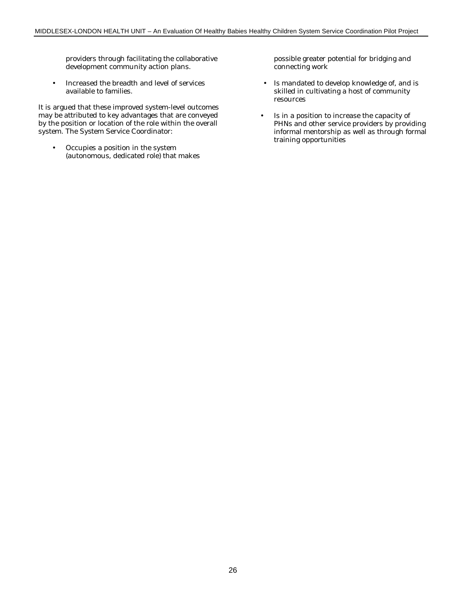providers through facilitating the collaborative development community action plans.

• Increased the breadth and level of services available to families.

It is argued that these improved system-level outcomes may be attributed to key advantages that are conveyed by the position or location of the role within the overall system. The System Service Coordinator:

• Occupies a position in the system (autonomous, dedicated role) that makes possible greater potential for bridging and connecting work

- Is mandated to develop knowledge of, and is skilled in cultivating a host of community resources
- Is in a position to increase the capacity of PHNs and other service providers by providing informal mentorship as well as through formal training opportunities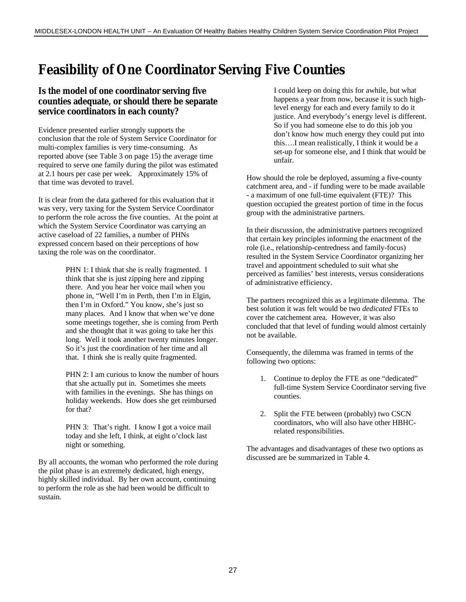## **Feasibility of One Coordinator Serving Five Counties**

### **Is the model of** *one coordinator serving five counties* **adequate, or should there be separate service coordinators in each county?**

Evidence presented earlier strongly supports the conclusion that the role of System Service Coordinator for multi-complex families is very time-consuming. As reported above (see Table 3 on page 15) the average time required to serve one family during the pilot was estimated at 2.1 hours per case per week. Approximately 15% of that time was devoted to travel.

It is clear from the data gathered for this evaluation that it was very, very taxing for the System Service Coordinator to perform the role across the five counties. At the point at which the System Service Coordinator was carrying an active caseload of 22 families, a number of PHNs expressed concern based on their perceptions of how taxing the role was on the coordinator.

> PHN 1: I think that she is really fragmented. I think that she is just zipping here and zipping there. And you hear her voice mail when you phone in, "Well I'm in Perth, then I'm in Elgin, then I'm in Oxford." You know, she's just so many places. And I know that when we've done some meetings together, she is coming from Perth and she thought that it was going to take her this long. Well it took another twenty minutes longer. So it's just the coordination of her time and all that. I think she is really quite fragmented.

> PHN 2: I am curious to know the number of hours that she actually put in. Sometimes she meets with families in the evenings. She has things on holiday weekends. How does she get reimbursed for that?

PHN 3: That's right. I know I got a voice mail today and she left, I think, at eight o'clock last night or something.

By all accounts, the woman who performed the role during the pilot phase is an extremely dedicated, high energy, highly skilled individual. By her own account, continuing to perform the role as she had been would be difficult to sustain.

I could keep on doing this for awhile, but what happens a year from now, because it is such highlevel energy for each and every family to do it justice. And everybody's energy level is different. So if you had someone else to do this job you don't know how much energy they could put into this….I mean realistically, I think it would be a set-up for someone else, and I think that would be unfair.

How should the role be deployed, assuming a five-county catchment area, and - if funding were to be made available - a maximum of one full-time equivalent (FTE)? This question occupied the greatest portion of time in the focus group with the administrative partners.

In their discussion, the administrative partners recognized that certain key principles informing the enactment of the role (i.e., relationship-centredness and family-focus) resulted in the System Service Coordinator organizing her travel and appointment scheduled to suit what she perceived as families' best interests, versus considerations of administrative efficiency.

The partners recognized this as a legitimate dilemma. The best solution it was felt would be two *dedicated* FTEs to cover the catchement area. However, it was also concluded that that level of funding would almost certainly not be available.

Consequently, the dilemma was framed in terms of the following two options:

- 1. Continue to deploy the FTE as one "dedicated" full-time System Service Coordinator serving five counties.
- 2. Split the FTE between (probably) two CSCN coordinators, who will also have other HBHCrelated responsibilities.

The advantages and disadvantages of these two options as discussed are be summarized in Table 4.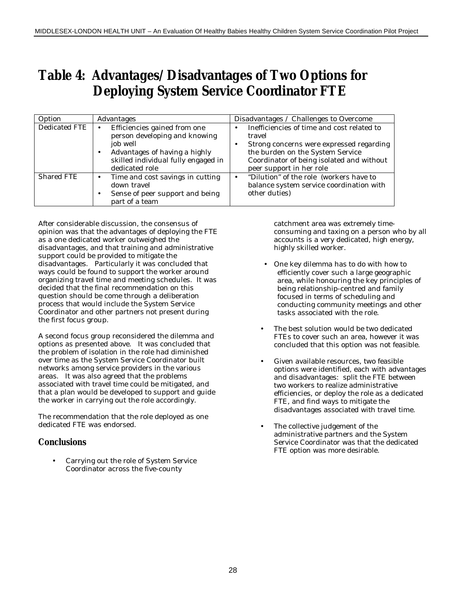## **Table 4: Advantages/Disadvantages of Two Options for Deploying System Service Coordinator FTE**

| Option        | Advantages                                                                                                                                                                                    | Disadvantages / Challenges to Overcome                                                                                                                                                                        |
|---------------|-----------------------------------------------------------------------------------------------------------------------------------------------------------------------------------------------|---------------------------------------------------------------------------------------------------------------------------------------------------------------------------------------------------------------|
| Dedicated FTE | Efficiencies gained from one<br>$\bullet$<br>person developing and knowing<br>job well<br>Advantages of having a highly<br>$\bullet$<br>skilled individual fully engaged in<br>dedicated role | Inefficiencies of time and cost related to<br>travel<br>Strong concerns were expressed regarding<br>the burden on the System Service<br>Coordinator of being isolated and without<br>peer support in her role |
| Shared FTE    | Time and cost savings in cutting<br>$\bullet$<br>down travel<br>Sense of peer support and being<br>$\bullet$<br>part of a team                                                                | "Dilution" of the role (workers have to<br>$\bullet$<br>balance system service coordination with<br>other duties)                                                                                             |

After considerable discussion, the consensus of opinion was that the advantages of deploying the FTE as a one dedicated worker outweighed the disadvantages, and that training and administrative support could be provided to mitigate the disadvantages. Particularly it was concluded that ways could be found to support the worker around organizing travel time and meeting schedules. It was decided that the final recommendation on this question should be come through a deliberation process that would include the System Service Coordinator and other partners not present during the first focus group.

A second focus group reconsidered the dilemma and options as presented above. It was concluded that the problem of isolation in the role had diminished over time as the System Service Coordinator built networks among service providers in the various areas. It was also agreed that the problems associated with travel time could be mitigated, and that a plan would be developed to support and guide the worker in carrying out the role accordingly.

The recommendation that the role deployed as one dedicated FTE was endorsed.

### **Conclusions**

• Carrying out the role of System Service Coordinator across the five-county

catchment area was extremely timeconsuming and taxing on a person who by all accounts is a very dedicated, high energy, highly skilled worker.

- One key dilemma has to do with how to efficiently cover such a large geographic area, while honouring the key principles of being relationship-centred and family focused in terms of scheduling and conducting community meetings and other tasks associated with the role.
- The best solution would be two dedicated FTEs to cover such an area, however it was concluded that this option was not feasible.
- Given available resources, two feasible options were identified, each with advantages and disadvantages: split the FTE between two workers to realize administrative efficiencies, or deploy the role as a dedicated FTE, and find ways to mitigate the disadvantages associated with travel time.
- The collective judgement of the administrative partners and the System Service Coordinator was that the dedicated FTE option was more desirable.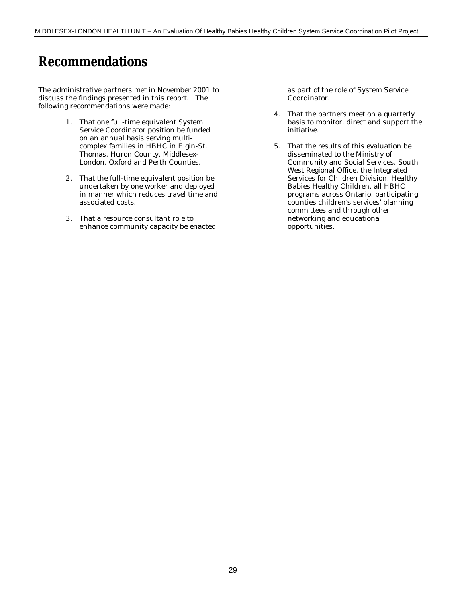## **Recommendations**

The administrative partners met in November 2001 to discuss the findings presented in this report. The following recommendations were made:

- 1. That one full-time equivalent System Service Coordinator position be funded on an annual basis serving multicomplex families in HBHC in Elgin-St. Thomas, Huron County, Middlesex-London, Oxford and Perth Counties.
- 2. That the full-time equivalent position be undertaken by one worker and deployed in manner which reduces travel time and associated costs.
- 3. That a resource consultant role to enhance community capacity be enacted

as part of the role of System Service Coordinator.

- 4. That the partners meet on a quarterly basis to monitor, direct and support the initiative.
- 5. That the results of this evaluation be disseminated to the Ministry of Community and Social Services, South West Regional Office, the Integrated Services for Children Division, Healthy Babies Healthy Children, all HBHC programs across Ontario, participating counties children's services' planning committees and through other networking and educational opportunities.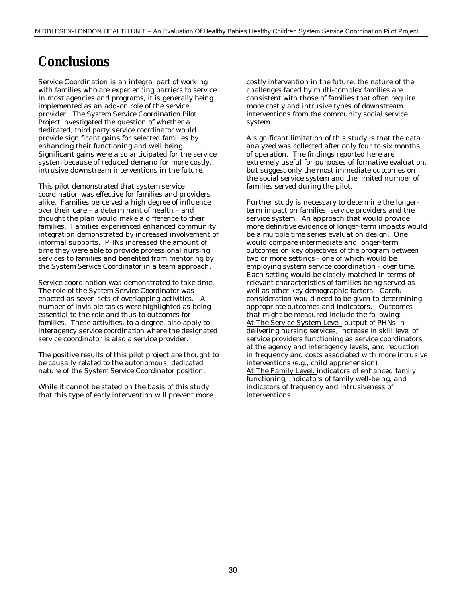## **Conclusions**

Service Coordination is an integral part of working with families who are experiencing barriers to service. In most agencies and programs, it is generally being implemented as an add-on role of the service provider. *The System Service Coordination Pilot Project* investigated the question of whether a *dedicated, third party service coordinator* would provide significant gains for selected families by enhancing their functioning and well being. Significant gains were also anticipated for the service system because of reduced demand for more costly, intrusive downstream interventions in the future.

This pilot demonstrated that s*ystem service coordination* was effective for families and providers alike. Families perceived a high degree of influence over their care – a determinant of health – and thought the plan would make a difference to their families. Families experienced enhanced community integration demonstrated by increased involvement of informal supports. PHNs increased the amount of time they were able to provide professional nursing services to families and benefited from mentoring by the *System Service Coordinator* in a team approach.

Service coordination was demonstrated to take time. The role of the *System Service Coordinator* was enacted as seven sets of overlapping activities. A number of invisible tasks were highlighted as being essential to the role and thus to outcomes for families. These activities, to a degree, also apply to i*nteragency service coordination* where the designated service coordinator is also a service provider.

The positive results of this pilot project are thought to be causally related to the autonomous, dedicated nature of the *System Service Coordinator* position.

While it cannot be stated on the basis of this study that this type of early intervention will prevent more

costly intervention in the future, the nature of the challenges faced by multi-complex families are consistent with those of families that often require more costly and intrusive types of downstream interventions from the community social service system.

A significant limitation of this study is that the data analyzed was collected after only four to six months of operation. The findings reported here are extremely useful for purposes of formative evaluation, but suggest only the most immediate outcomes on the social service system and the limited number of families served during the pilot.

Further study is necessary to determine the longerterm impact on families, service providers and the service system. An approach that would provide more definitive evidence of longer-term impacts would be a *multiple time series* evaluation design. One would compare intermediate and longer-term outcomes on key objectives of the program between two or more settings - one of which would be employing system service coordination - over time. Each setting would be closely matched in terms of relevant characteristics of families being served as well as other key demographic factors. Careful consideration would need to be given to determining appropriate outcomes and indicators. Outcomes that might be measured include the following: At The Service System Level: output of PHNs in delivering nursing services, increase in skill level of service providers functioning as service coordinators at the agency and interagency levels, and reduction in frequency and costs associated with more intrusive interventions (e.g., child apprehension). At The Family Level: indicators of enhanced family functioning, indicators of family well-being, and indicators of frequency and intrusiveness of interventions.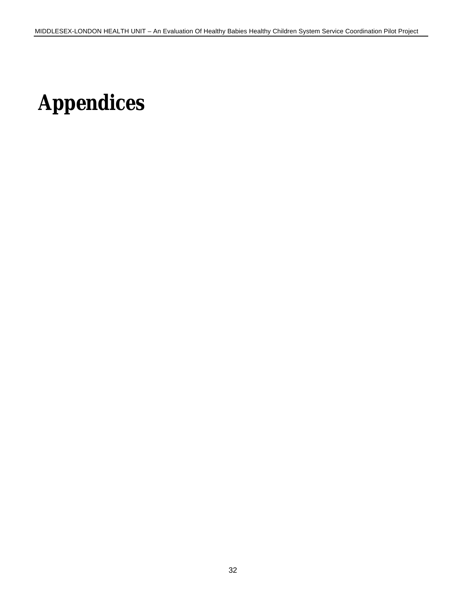# **Appendices**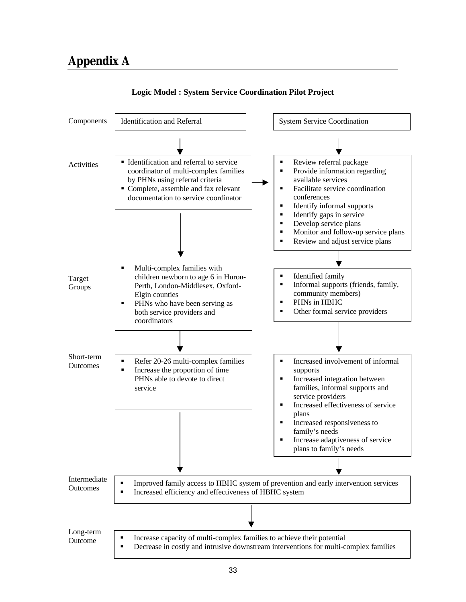

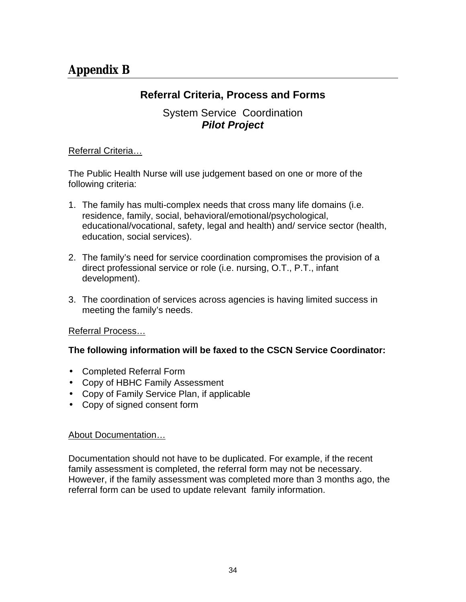## **Referral Criteria, Process and Forms**

### System Service Coordination *Pilot Project*

### Referral Criteria…

The Public Health Nurse will use judgement based on one or more of the following criteria:

- 1. The family has multi-complex needs that cross many life domains (i.e. residence, family, social, behavioral/emotional/psychological, educational/vocational, safety, legal and health) and/ service sector (health, education, social services).
- 2. The family's need for service coordination compromises the provision of a direct professional service or role (i.e. nursing, O.T., P.T., infant development).
- 3. The coordination of services across agencies is having limited success in meeting the family's needs.

### Referral Process…

### **The following information will be faxed to the CSCN Service Coordinator:**

- Completed Referral Form
- Copy of HBHC Family Assessment
- Copy of Family Service Plan, if applicable
- Copy of signed consent form

### About Documentation…

Documentation should not have to be duplicated. For example, if the recent family assessment is completed, the referral form may not be necessary. However, if the family assessment was completed more than 3 months ago, the referral form can be used to update relevant family information.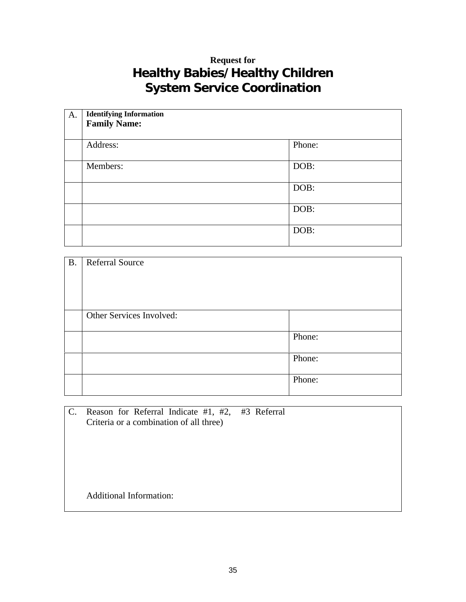## **Request for Healthy Babies/Healthy Children System Service Coordination**

| A. | <b>Identifying Information</b><br><b>Family Name:</b> |        |
|----|-------------------------------------------------------|--------|
|    | Address:                                              | Phone: |
|    | Members:                                              | DOB:   |
|    |                                                       | DOB:   |
|    |                                                       | DOB:   |
|    |                                                       | DOB:   |

| <b>B.</b> | <b>Referral Source</b>   |        |
|-----------|--------------------------|--------|
|           | Other Services Involved: | Phone: |
|           |                          | Phone: |
|           |                          | Phone: |

C. Reason for Referral Indicate #1, #2, #3 Referral Criteria or a combination of all three) Additional Information: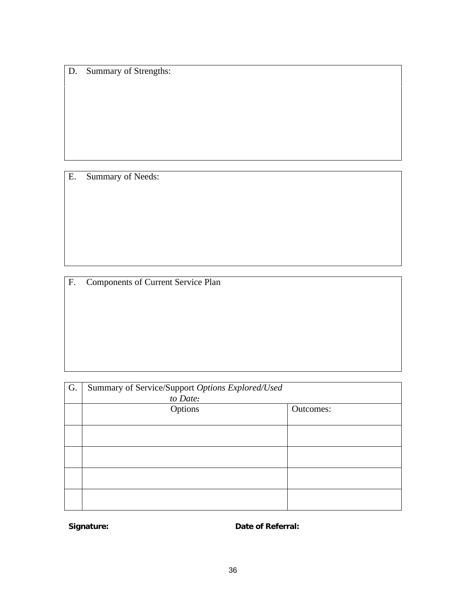D. Summary of Strengths:

E. Summary of Needs:

F. Components of Current Service Plan

| G. | Summary of Service/Support Options Explored/Used |           |
|----|--------------------------------------------------|-----------|
|    | to Date:                                         |           |
|    | Options                                          | Outcomes: |
|    |                                                  |           |
|    |                                                  |           |
|    |                                                  |           |
|    |                                                  |           |
|    |                                                  |           |
|    |                                                  |           |
|    |                                                  |           |
|    |                                                  |           |
|    |                                                  |           |

**Signature:** Date of Referral: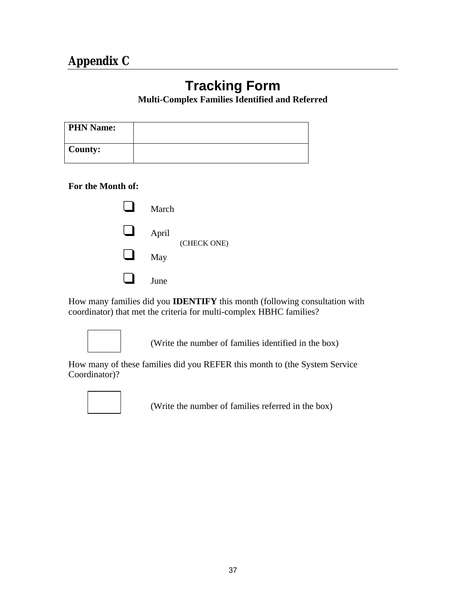## **Tracking Form**

### **Multi-Complex Families Identified and Referred**

| <b>PHN Name:</b> |  |
|------------------|--|
| County:          |  |

**For the Month of:**

| March |             |
|-------|-------------|
| April | (CHECK ONE) |
| May   |             |
| June  |             |

How many families did you **IDENTIFY** this month (following consultation with coordinator) that met the criteria for multi-complex HBHC families?



(Write the number of families identified in the box)

How many of these families did you REFER this month to (the System Service Coordinator)?



(Write the number of families referred in the box)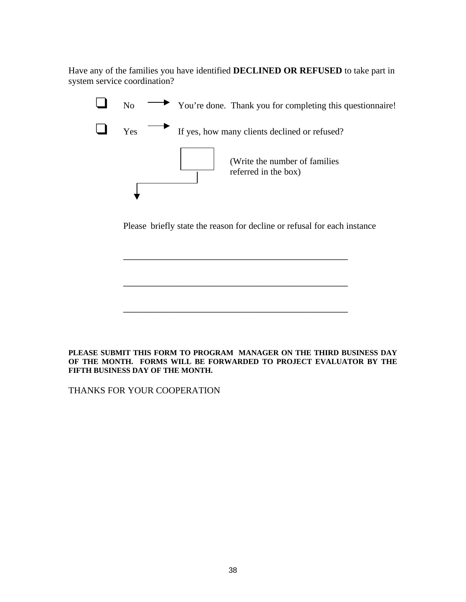Have any of the families you have identified **DECLINED OR REFUSED** to take part in system service coordination?



Please briefly state the reason for decline or refusal for each instance

**\_\_\_\_\_\_\_\_\_\_\_\_\_\_\_\_\_\_\_\_\_\_\_\_\_\_\_\_\_\_\_\_\_\_\_\_\_\_\_\_\_\_\_\_\_\_\_\_\_\_\_\_\_\_\_\_\_\_\_**

**\_\_\_\_\_\_\_\_\_\_\_\_\_\_\_\_\_\_\_\_\_\_\_\_\_\_\_\_\_\_\_\_\_\_\_\_\_\_\_\_\_\_\_\_\_\_\_\_\_\_\_\_\_\_\_\_\_\_\_**

**\_\_\_\_\_\_\_\_\_\_\_\_\_\_\_\_\_\_\_\_\_\_\_\_\_\_\_\_\_\_\_\_\_\_\_\_\_\_\_\_\_\_\_\_\_\_\_\_\_\_\_\_\_\_\_\_\_\_\_**

#### **PLEASE SUBMIT THIS FORM TO PROGRAM MANAGER ON THE THIRD BUSINESS DAY OF THE MONTH. FORMS WILL BE FORWARDED TO PROJECT EVALUATOR BY THE FIFTH BUSINESS DAY OF THE MONTH.**

THANKS FOR YOUR COOPERATION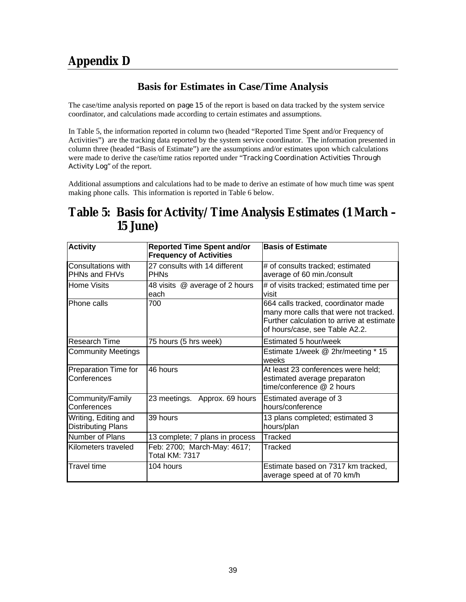## **Appendix D**

### **Basis for Estimates in Case/Time Analysis**

The case/time analysis reported on page 15 of the report is based on data tracked by the system service coordinator, and calculations made according to certain estimates and assumptions.

In Table 5, the information reported in column two (headed "Reported Time Spent and/or Frequency of Activities") are the tracking data reported by the system service coordinator. The information presented in column three (headed "Basis of Estimate") are the assumptions and/or estimates upon which calculations were made to derive the case/time ratios reported under "Tracking Coordination Activities Through Activity Log" of the report.

Additional assumptions and calculations had to be made to derive an estimate of how much time was spent making phone calls. This information is reported in Table 6 below.

## **Table 5: Basis for Activity/Time Analysis Estimates (1 March – 15 June)**

| <b>Activity</b>                                   | <b>Reported Time Spent and/or</b><br><b>Frequency of Activities</b> | <b>Basis of Estimate</b>                                                                                                                                     |
|---------------------------------------------------|---------------------------------------------------------------------|--------------------------------------------------------------------------------------------------------------------------------------------------------------|
| Consultations with<br>PHNs and FHVs               | 27 consults with 14 different<br><b>PHN<sub>S</sub></b>             | # of consults tracked; estimated<br>average of 60 min./consult                                                                                               |
| <b>Home Visits</b>                                | 48 visits @ average of 2 hours<br>each                              | # of visits tracked; estimated time per<br>visit                                                                                                             |
| Phone calls                                       | 700                                                                 | 664 calls tracked, coordinator made<br>many more calls that were not tracked.<br>Further calculation to arrive at estimate<br>of hours/case, see Table A2.2. |
| Research Time                                     | 75 hours (5 hrs week)                                               | Estimated 5 hour/week                                                                                                                                        |
| <b>Community Meetings</b>                         |                                                                     | Estimate 1/week @ 2hr/meeting * 15<br>weeks                                                                                                                  |
| Preparation Time for<br>Conferences               | 46 hours                                                            | At least 23 conferences were held;<br>estimated average preparaton<br>time/conference @ 2 hours                                                              |
| Community/Family<br>Conferences                   | 23 meetings. Approx. 69 hours                                       | Estimated average of 3<br>hours/conference                                                                                                                   |
| Writing, Editing and<br><b>Distributing Plans</b> | 39 hours                                                            | 13 plans completed; estimated 3<br>hours/plan                                                                                                                |
| Number of Plans                                   | 13 complete; 7 plans in process                                     | <b>Tracked</b>                                                                                                                                               |
| Kilometers traveled                               | Feb: 2700; March-May: 4617;<br><b>Total KM: 7317</b>                | Tracked                                                                                                                                                      |
| <b>Travel time</b>                                | 104 hours                                                           | Estimate based on 7317 km tracked,<br>average speed at of 70 km/h                                                                                            |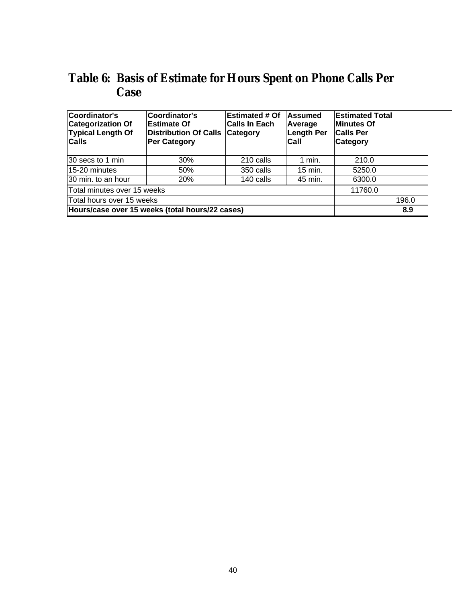## **Table 6: Basis of Estimate for Hours Spent on Phone Calls Per Case**

| Coordinator's<br><b>Categorization Of</b><br><b>Typical Length Of</b><br><b>Calls</b> | Coordinator's<br><b>Estimate Of</b><br>Distribution Of Calls<br><b>Per Category</b> | <b>Estimated # Of</b><br><b>Calls In Each</b><br><b>Category</b> | Assumed<br>Average<br>Length Per<br>Call | <b>Estimated Total</b><br><b>Minutes Of</b><br><b>Calls Per</b><br>Category |       |
|---------------------------------------------------------------------------------------|-------------------------------------------------------------------------------------|------------------------------------------------------------------|------------------------------------------|-----------------------------------------------------------------------------|-------|
| 30 secs to 1 min                                                                      | 30%                                                                                 | 210 calls                                                        | 1 min.                                   | 210.0                                                                       |       |
| 15-20 minutes                                                                         | 50%                                                                                 | 350 calls                                                        | $15$ min.                                | 5250.0                                                                      |       |
| 30 min. to an hour                                                                    | 20%                                                                                 | 140 calls                                                        | 45 min.                                  | 6300.0                                                                      |       |
| Total minutes over 15 weeks                                                           |                                                                                     |                                                                  |                                          | 11760.0                                                                     |       |
| Total hours over 15 weeks                                                             |                                                                                     |                                                                  |                                          |                                                                             | 196.0 |
|                                                                                       | Hours/case over 15 weeks (total hours/22 cases)                                     |                                                                  |                                          |                                                                             | 8.9   |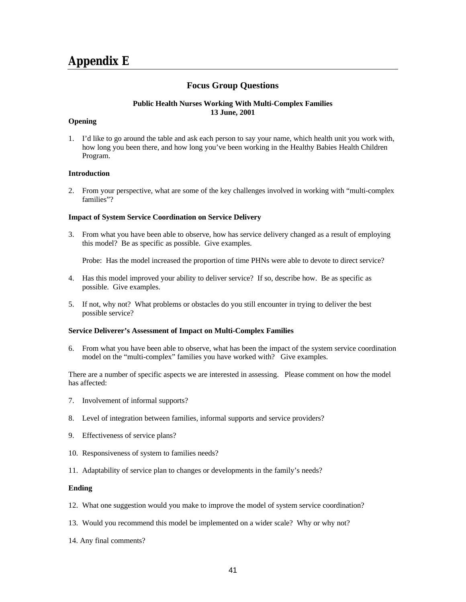### **Focus Group Questions**

#### **Public Health Nurses Working With Multi-Complex Families 13 June, 2001**

#### **Opening**

1. I'd like to go around the table and ask each person to say your name, which health unit you work with, how long you been there, and how long you've been working in the Healthy Babies Health Children Program.

#### **Introduction**

2. From your perspective, what are some of the key challenges involved in working with "multi-complex families"?

#### **Impact of System Service Coordination on Service Delivery**

3. From what you have been able to observe, how has service delivery changed as a result of employing this model? Be as specific as possible. Give examples.

Probe: Has the model increased the proportion of time PHNs were able to devote to direct service?

- 4. Has this model improved your ability to deliver service? If so, describe how. Be as specific as possible. Give examples.
- 5. If not, why not? What problems or obstacles do you still encounter in trying to deliver the best possible service?

#### **Service Deliverer's Assessment of Impact on Multi-Complex Families**

6. From what you have been able to observe, what has been the impact of the system service coordination model on the "multi-complex" families you have worked with? Give examples.

There are a number of specific aspects we are interested in assessing. Please comment on how the model has affected:

- 7. Involvement of informal supports?
- 8. Level of integration between families, informal supports and service providers?
- 9. Effectiveness of service plans?
- 10. Responsiveness of system to families needs?
- 11. Adaptability of service plan to changes or developments in the family's needs?

#### **Ending**

- 12. What one suggestion would you make to improve the model of system service coordination?
- 13. Would you recommend this model be implemented on a wider scale? Why or why not?
- 14. Any final comments?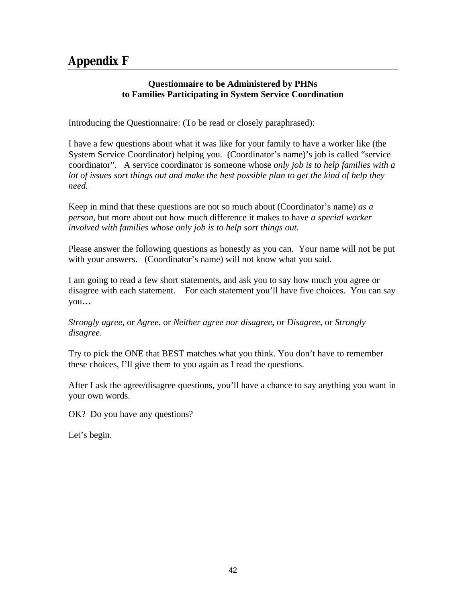## **Appendix F**

### **Questionnaire to be Administered by PHNs to Families Participating in System Service Coordination**

Introducing the Questionnaire: (To be read or closely paraphrased):

I have a few questions about what it was like for your family to have a worker like (the System Service Coordinator) helping you. (Coordinator's name)'s job is called "service coordinator". A service coordinator is someone whose *only job is to help families with a lot of issues sort things out and make the best possible plan to get the kind of help they need.*

Keep in mind that these questions are not so much about (Coordinator's name) *as a person,* but more about out how much difference it makes to have *a special worker involved with families whose only job is to help sort things out.*

Please answer the following questions as honestly as you can. Your name will not be put with your answers. (Coordinator's name) will not know what you said.

I am going to read a few short statements, and ask you to say how much you agree or disagree with each statement. For each statement you'll have five choices. You can say you**…**

*Strongly agree*, or *Agree*, or *Neither agree nor disagree*, or *Disagree*, or *Strongly disagree*.

Try to pick the ONE that BEST matches what you think. You don't have to remember these choices, I'll give them to you again as I read the questions.

After I ask the agree/disagree questions, you'll have a chance to say anything you want in your own words.

OK? Do you have any questions?

Let's begin.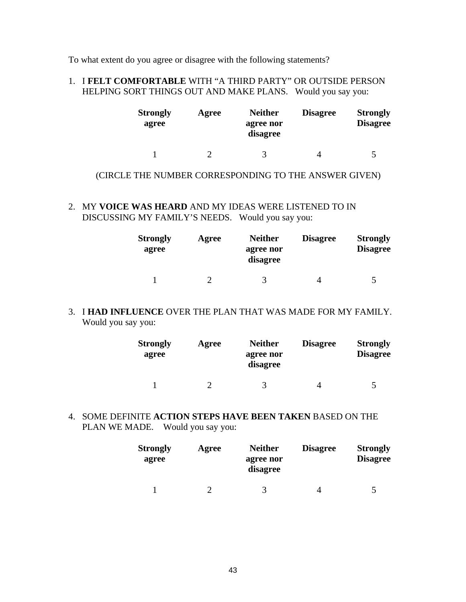To what extent do you agree or disagree with the following statements?

### 1. I **FELT COMFORTABLE** WITH "A THIRD PARTY" OR OUTSIDE PERSON HELPING SORT THINGS OUT AND MAKE PLANS. Would you say you:

| <b>Strongly</b><br>agree | Agree | <b>Neither</b><br>agree nor<br>disagree | <b>Disagree</b> | <b>Strongly</b><br><b>Disagree</b> |
|--------------------------|-------|-----------------------------------------|-----------------|------------------------------------|
|                          |       | $\rightarrow$                           |                 | 5                                  |

### (CIRCLE THE NUMBER CORRESPONDING TO THE ANSWER GIVEN)

2. MY **VOICE WAS HEARD** AND MY IDEAS WERE LISTENED TO IN DISCUSSING MY FAMILY'S NEEDS. Would you say you:

| <b>Strongly</b><br>agree | Agree | <b>Neither</b><br>agree nor<br>disagree | <b>Disagree</b> | <b>Strongly</b><br><b>Disagree</b> |
|--------------------------|-------|-----------------------------------------|-----------------|------------------------------------|
|                          |       |                                         |                 | 5                                  |

### 3. I **HAD INFLUENCE** OVER THE PLAN THAT WAS MADE FOR MY FAMILY. Would you say you:

| <b>Strongly</b><br>agree | Agree | <b>Neither</b><br>agree nor<br>disagree | <b>Disagree</b> | <b>Strongly</b><br><b>Disagree</b> |
|--------------------------|-------|-----------------------------------------|-----------------|------------------------------------|
|                          |       |                                         |                 | 5                                  |

4. SOME DEFINITE **ACTION STEPS HAVE BEEN TAKEN** BASED ON THE PLAN WE MADE. Would you say you:

| <b>Strongly</b><br>agree | Agree | <b>Neither</b><br>agree nor<br>disagree | <b>Disagree</b> | <b>Strongly</b><br><b>Disagree</b> |
|--------------------------|-------|-----------------------------------------|-----------------|------------------------------------|
|                          |       |                                         |                 | 5                                  |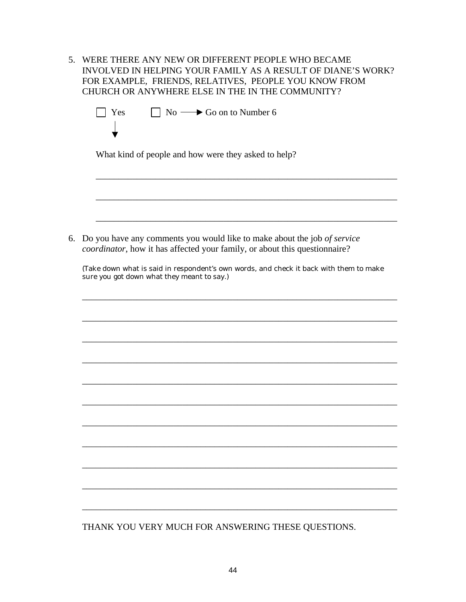| 5. WERE THERE ANY NEW OR DIFFERENT PEOPLE WHO BECAME         |
|--------------------------------------------------------------|
| INVOLVED IN HELPING YOUR FAMILY AS A RESULT OF DIANE'S WORK? |
| FOR EXAMPLE, FRIENDS, RELATIVES, PEOPLE YOU KNOW FROM        |
| CHURCH OR ANYWHERE ELSE IN THE IN THE COMMUNITY?             |

| What kind of people and how were they asked to help?                                                                                                   |
|--------------------------------------------------------------------------------------------------------------------------------------------------------|
|                                                                                                                                                        |
|                                                                                                                                                        |
|                                                                                                                                                        |
| Do you have any comments you would like to make about the job of service<br>coordinator, how it has affected your family, or about this questionnaire? |
| (Take down what is said in respondent's own words, and check it back with them to make<br>sure you got down what they meant to say.)                   |
|                                                                                                                                                        |
|                                                                                                                                                        |
|                                                                                                                                                        |
|                                                                                                                                                        |
|                                                                                                                                                        |
|                                                                                                                                                        |
|                                                                                                                                                        |
|                                                                                                                                                        |
|                                                                                                                                                        |
|                                                                                                                                                        |
|                                                                                                                                                        |

THANK YOU VERY MUCH FOR ANSWERING THESE QUESTIONS.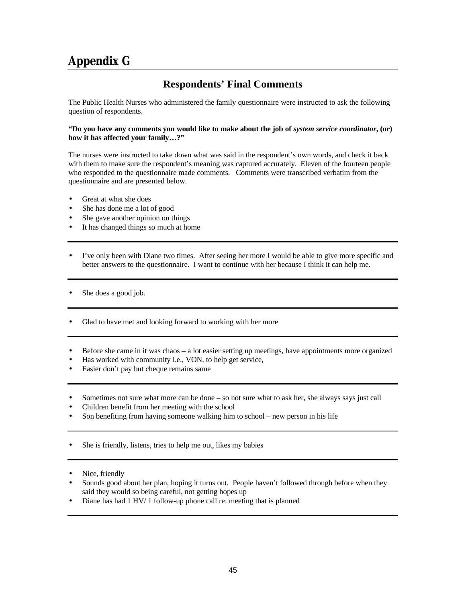## **Appendix G**

### **Respondents' Final Comments**

The Public Health Nurses who administered the family questionnaire were instructed to ask the following question of respondents.

#### **"Do you have any comments you would like to make about the job of** *system service coordinator***, (or) how it has affected your family…?"**

The nurses were instructed to take down what was said in the respondent's own words, and check it back with them to make sure the respondent's meaning was captured accurately. Eleven of the fourteen people who responded to the questionnaire made comments. Comments were transcribed verbatim from the questionnaire and are presented below.

- Great at what she does
- She has done me a lot of good
- She gave another opinion on things
- It has changed things so much at home
- I've only been with Diane two times. After seeing her more I would be able to give more specific and better answers to the questionnaire. I want to continue with her because I think it can help me.
- She does a good job.
- Glad to have met and looking forward to working with her more
- Before she came in it was chaos a lot easier setting up meetings, have appointments more organized
- Has worked with community i.e., VON. to help get service,
- Easier don't pay but cheque remains same
- Sometimes not sure what more can be done so not sure what to ask her, she always says just call
- Children benefit from her meeting with the school
- Son benefiting from having someone walking him to school new person in his life
- She is friendly, listens, tries to help me out, likes my babies
- Nice, friendly
- Sounds good about her plan, hoping it turns out. People haven't followed through before when they said they would so being careful, not getting hopes up
- Diane has had 1 HV/ 1 follow-up phone call re: meeting that is planned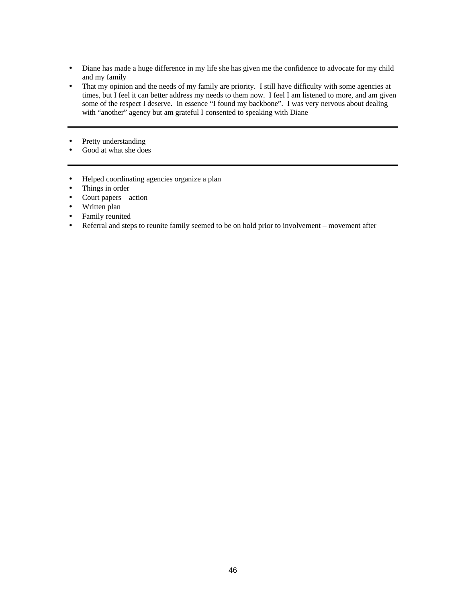- Diane has made a huge difference in my life she has given me the confidence to advocate for my child and my family
- That my opinion and the needs of my family are priority. I still have difficulty with some agencies at times, but I feel it can better address my needs to them now. I feel I am listened to more, and am given some of the respect I deserve. In essence "I found my backbone". I was very nervous about dealing with "another" agency but am grateful I consented to speaking with Diane
- Pretty understanding
- Good at what she does
- Helped coordinating agencies organize a plan
- Things in order
- Court papers action
- Written plan
- Family reunited
- Referral and steps to reunite family seemed to be on hold prior to involvement movement after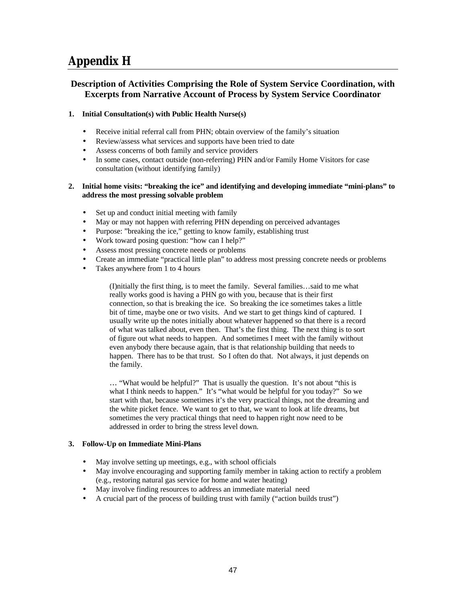## **Appendix H**

### **Description of Activities Comprising the Role of System Service Coordination, with Excerpts from Narrative Account of Process by System Service Coordinator**

#### **1. Initial Consultation(s) with Public Health Nurse(s)**

- Receive initial referral call from PHN; obtain overview of the family's situation
- Review/assess what services and supports have been tried to date
- Assess concerns of both family and service providers
- In some cases, contact outside (non-referring) PHN and/or Family Home Visitors for case consultation (without identifying family)

#### **2. Initial home visits: "breaking the ice" and identifying and developing immediate "mini-plans" to address the most pressing solvable problem**

- Set up and conduct initial meeting with family
- May or may not happen with referring PHN depending on perceived advantages
- Purpose: "breaking the ice," getting to know family, establishing trust
- Work toward posing question: "how can I help?"
- Assess most pressing concrete needs or problems
- Create an immediate "practical little plan" to address most pressing concrete needs or problems
- Takes anywhere from 1 to 4 hours

(I)nitially the first thing, is to meet the family. Several families…said to me what really works good is having a PHN go with you, because that is their first connection, so that is breaking the ice. So breaking the ice sometimes takes a little bit of time, maybe one or two visits. And we start to get things kind of captured. I usually write up the notes initially about whatever happened so that there is a record of what was talked about, even then. That's the first thing. The next thing is to sort of figure out what needs to happen. And sometimes I meet with the family without even anybody there because again, that is that relationship building that needs to happen. There has to be that trust. So I often do that. Not always, it just depends on the family.

… "What would be helpful?" That is usually the question. It's not about "this is what I think needs to happen." It's "what would be helpful for you today?" So we start with that, because sometimes it's the very practical things, not the dreaming and the white picket fence. We want to get to that, we want to look at life dreams, but sometimes the very practical things that need to happen right now need to be addressed in order to bring the stress level down.

#### **3. Follow-Up on Immediate Mini-Plans**

- May involve setting up meetings, e.g., with school officials
- May involve encouraging and supporting family member in taking action to rectify a problem (e.g., restoring natural gas service for home and water heating)
- May involve finding resources to address an immediate material need
- A crucial part of the process of building trust with family ("action builds trust")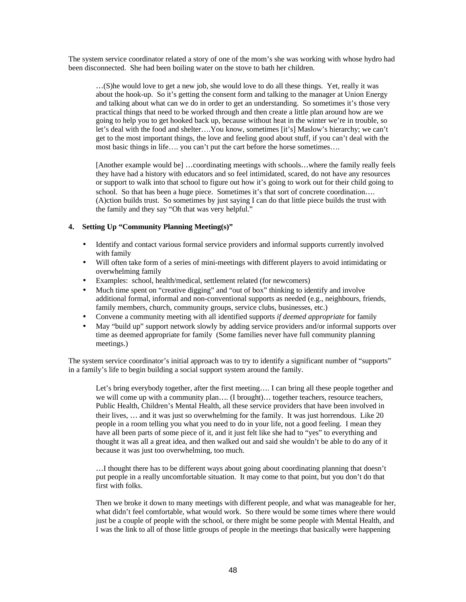The system service coordinator related a story of one of the mom's she was working with whose hydro had been disconnected. She had been boiling water on the stove to bath her children.

…(S)he would love to get a new job, she would love to do all these things. Yet, really it was about the hook-up. So it's getting the consent form and talking to the manager at Union Energy and talking about what can we do in order to get an understanding. So sometimes it's those very practical things that need to be worked through and then create a little plan around how are we going to help you to get hooked back up, because without heat in the winter we're in trouble, so let's deal with the food and shelter….You know, sometimes [it's] Maslow's hierarchy; we can't get to the most important things, the love and feeling good about stuff, if you can't deal with the most basic things in life…. you can't put the cart before the horse sometimes….

[Another example would be] …coordinating meetings with schools…where the family really feels they have had a history with educators and so feel intimidated, scared, do not have any resources or support to walk into that school to figure out how it's going to work out for their child going to school. So that has been a huge piece. Sometimes it's that sort of concrete coordination.... (A)ction builds trust. So sometimes by just saying I can do that little piece builds the trust with the family and they say "Oh that was very helpful."

#### **4. Setting Up "Community Planning Meeting(s)"**

- Identify and contact various formal service providers and informal supports currently involved with family
- Will often take form of a series of mini-meetings with different players to avoid intimidating or overwhelming family
- Examples: school, health/medical, settlement related (for newcomers)
- Much time spent on "creative digging" and "out of box" thinking to identify and involve additional formal, informal and non-conventional supports as needed (e.g., neighbours, friends, family members, church, community groups, service clubs, businesses, etc.)
- Convene a community meeting with all identified supports *if deemed appropriate* for family
- May "build up" support network slowly by adding service providers and/or informal supports over time as deemed appropriate for family (Some families never have full community planning meetings.)

The system service coordinator's initial approach was to try to identify a significant number of "supports" in a family's life to begin building a social support system around the family.

Let's bring everybody together, after the first meeting…. I can bring all these people together and we will come up with a community plan…. (I brought)… together teachers, resource teachers, Public Health, Children's Mental Health, all these service providers that have been involved in their lives, … and it was just so overwhelming for the family. It was just horrendous. Like 20 people in a room telling you what you need to do in your life, not a good feeling. I mean they have all been parts of some piece of it, and it just felt like she had to "yes" to everything and thought it was all a great idea, and then walked out and said she wouldn't be able to do any of it because it was just too overwhelming, too much.

…I thought there has to be different ways about going about coordinating planning that doesn't put people in a really uncomfortable situation. It may come to that point, but you don't do that first with folks.

Then we broke it down to many meetings with different people, and what was manageable for her, what didn't feel comfortable, what would work. So there would be some times where there would just be a couple of people with the school, or there might be some people with Mental Health, and I was the link to all of those little groups of people in the meetings that basically were happening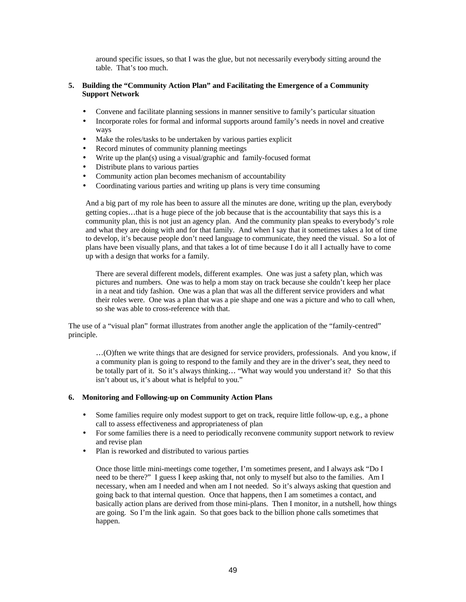around specific issues, so that I was the glue, but not necessarily everybody sitting around the table. That's too much.

#### **5. Building the "Community Action Plan" and Facilitating the Emergence of a Community Support Network**

- Convene and facilitate planning sessions in manner sensitive to family's particular situation
- Incorporate roles for formal and informal supports around family's needs in novel and creative ways
- Make the roles/tasks to be undertaken by various parties explicit
- Record minutes of community planning meetings
- Write up the plan(s) using a visual/graphic and family-focused format
- Distribute plans to various parties
- Community action plan becomes mechanism of accountability
- Coordinating various parties and writing up plans is very time consuming

And a big part of my role has been to assure all the minutes are done, writing up the plan, everybody getting copies…that is a huge piece of the job because that is the accountability that says this is a community plan, this is not just an agency plan. And the community plan speaks to everybody's role and what they are doing with and for that family. And when I say that it sometimes takes a lot of time to develop, it's because people don't need language to communicate, they need the visual. So a lot of plans have been visually plans, and that takes a lot of time because I do it all I actually have to come up with a design that works for a family.

There are several different models, different examples. One was just a safety plan, which was pictures and numbers. One was to help a mom stay on track because she couldn't keep her place in a neat and tidy fashion. One was a plan that was all the different service providers and what their roles were. One was a plan that was a pie shape and one was a picture and who to call when, so she was able to cross-reference with that.

The use of a "visual plan" format illustrates from another angle the application of the "family-centred" principle.

…(O)ften we write things that are designed for service providers, professionals. And you know, if a community plan is going to respond to the family and they are in the driver's seat, they need to be totally part of it. So it's always thinking... "What way would you understand it? So that this isn't about us, it's about what is helpful to you."

#### **6. Monitoring and Following-up on Community Action Plans**

- Some families require only modest support to get on track, require little follow-up, e.g., a phone call to assess effectiveness and appropriateness of plan
- For some families there is a need to periodically reconvene community support network to review and revise plan
- Plan is reworked and distributed to various parties

Once those little mini-meetings come together, I'm sometimes present, and I always ask "Do I need to be there?" I guess I keep asking that, not only to myself but also to the families. Am I necessary, when am I needed and when am I not needed. So it's always asking that question and going back to that internal question. Once that happens, then I am sometimes a contact, and basically action plans are derived from those mini-plans. Then I monitor, in a nutshell, how things are going. So I'm the link again. So that goes back to the billion phone calls sometimes that happen.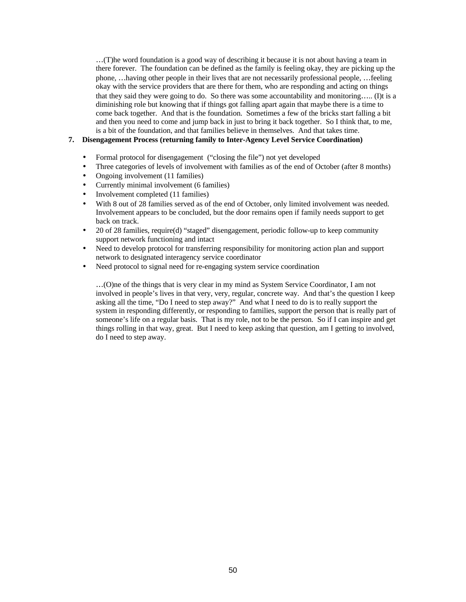…(T)he word foundation is a good way of describing it because it is not about having a team in there forever. The foundation can be defined as the family is feeling okay, they are picking up the phone, …having other people in their lives that are not necessarily professional people, …feeling okay with the service providers that are there for them, who are responding and acting on things that they said they were going to do. So there was some accountability and monitoring….. (I)t is a diminishing role but knowing that if things got falling apart again that maybe there is a time to come back together. And that is the foundation. Sometimes a few of the bricks start falling a bit and then you need to come and jump back in just to bring it back together. So I think that, to me, is a bit of the foundation, and that families believe in themselves. And that takes time.

#### **7. Disengagement Process (returning family to Inter-Agency Level Service Coordination)**

- Formal protocol for disengagement ("closing the file") not yet developed
- Three categories of levels of involvement with families as of the end of October (after 8 months)
- Ongoing involvement (11 families)
- Currently minimal involvement (6 families)
- Involvement completed (11 families)
- With 8 out of 28 families served as of the end of October, only limited involvement was needed. Involvement appears to be concluded, but the door remains open if family needs support to get back on track.
- 20 of 28 families, require(d) "staged" disengagement, periodic follow-up to keep community support network functioning and intact
- Need to develop protocol for transferring responsibility for monitoring action plan and support network to designated interagency service coordinator
- Need protocol to signal need for re-engaging system service coordination

…(O)ne of the things that is very clear in my mind as System Service Coordinator, I am not involved in people's lives in that very, very, regular, concrete way. And that's the question I keep asking all the time, "Do I need to step away?" And what I need to do is to really support the system in responding differently, or responding to families, support the person that is really part of someone's life on a regular basis. That is my role, not to be the person. So if I can inspire and get things rolling in that way, great. But I need to keep asking that question, am I getting to involved, do I need to step away.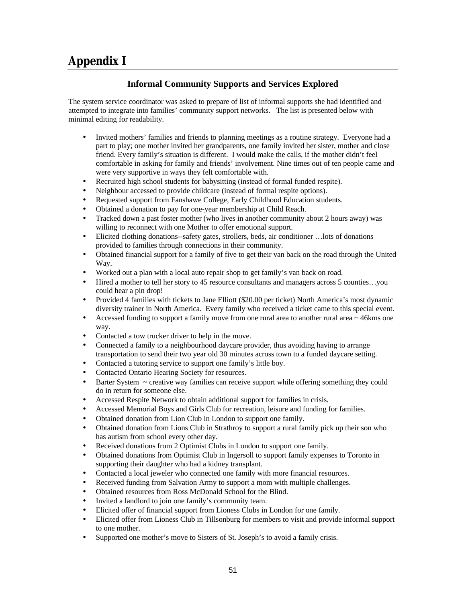## **Appendix I**

### **Informal Community Supports and Services Explored**

The system service coordinator was asked to prepare of list of informal supports she had identified and attempted to integrate into families' community support networks. The list is presented below with minimal editing for readability.

- Invited mothers' families and friends to planning meetings as a routine strategy. Everyone had a part to play; one mother invited her grandparents, one family invited her sister, mother and close friend. Every family's situation is different. I would make the calls, if the mother didn't feel comfortable in asking for family and friends' involvement. Nine times out of ten people came and were very supportive in ways they felt comfortable with.
- Recruited high school students for babysitting (instead of formal funded respite).
- Neighbour accessed to provide childcare (instead of formal respite options).
- Requested support from Fanshawe College, Early Childhood Education students.
- Obtained a donation to pay for one-year membership at Child Reach.
- Tracked down a past foster mother (who lives in another community about 2 hours away) was willing to reconnect with one Mother to offer emotional support.
- Elicited clothing donations--safety gates, strollers, beds, air conditioner …lots of donations provided to families through connections in their community.
- Obtained financial support for a family of five to get their van back on the road through the United Way.
- Worked out a plan with a local auto repair shop to get family's van back on road.
- Hired a mother to tell her story to 45 resource consultants and managers across 5 counties...you could hear a pin drop!
- Provided 4 families with tickets to Jane Elliott (\$20.00 per ticket) North America's most dynamic diversity trainer in North America. Every family who received a ticket came to this special event.
- Accessed funding to support a family move from one rural area to another rural area  $\sim$  46kms one way.
- Contacted a tow trucker driver to help in the move.
- Connected a family to a neighbourhood daycare provider, thus avoiding having to arrange transportation to send their two year old 30 minutes across town to a funded daycare setting.
- Contacted a tutoring service to support one family's little boy.
- Contacted Ontario Hearing Society for resources.
- Barter System  $\sim$  creative way families can receive support while offering something they could do in return for someone else.
- Accessed Respite Network to obtain additional support for families in crisis.
- Accessed Memorial Boys and Girls Club for recreation, leisure and funding for families.
- Obtained donation from Lion Club in London to support one family.
- Obtained donation from Lions Club in Strathroy to support a rural family pick up their son who has autism from school every other day.
- Received donations from 2 Optimist Clubs in London to support one family.
- Obtained donations from Optimist Club in Ingersoll to support family expenses to Toronto in supporting their daughter who had a kidney transplant.
- Contacted a local jeweler who connected one family with more financial resources.
- Received funding from Salvation Army to support a mom with multiple challenges.
- Obtained resources from Ross McDonald School for the Blind.
- Invited a landlord to join one family's community team.
- Elicited offer of financial support from Lioness Clubs in London for one family.
- Elicited offer from Lioness Club in Tillsonburg for members to visit and provide informal support to one mother.
- Supported one mother's move to Sisters of St. Joseph's to avoid a family crisis.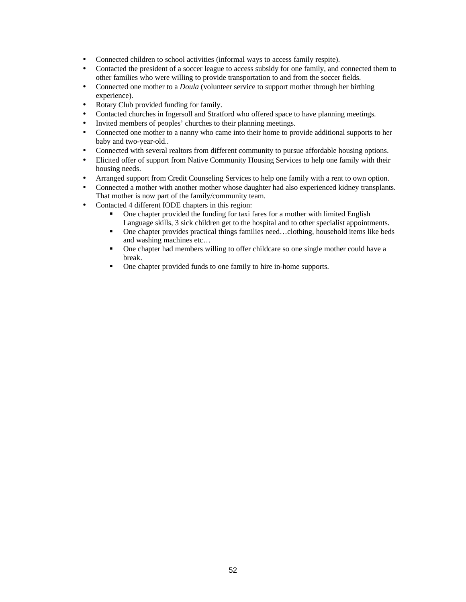- Connected children to school activities (informal ways to access family respite).
- Contacted the president of a soccer league to access subsidy for one family, and connected them to other families who were willing to provide transportation to and from the soccer fields.
- Connected one mother to a *Doula* (volunteer service to support mother through her birthing experience).
- Rotary Club provided funding for family.
- Contacted churches in Ingersoll and Stratford who offered space to have planning meetings.
- Invited members of peoples' churches to their planning meetings.
- Connected one mother to a nanny who came into their home to provide additional supports to her baby and two-year-old..
- Connected with several realtors from different community to pursue affordable housing options.
- Elicited offer of support from Native Community Housing Services to help one family with their housing needs.
- Arranged support from Credit Counseling Services to help one family with a rent to own option.
- Connected a mother with another mother whose daughter had also experienced kidney transplants. That mother is now part of the family/community team.
- Contacted 4 different IODE chapters in this region:
	- ß One chapter provided the funding for taxi fares for a mother with limited English Language skills, 3 sick children get to the hospital and to other specialist appointments.
	- One chapter provides practical things families need...clothing, household items like beds and washing machines etc…
	- One chapter had members willing to offer childcare so one single mother could have a break.
	- One chapter provided funds to one family to hire in-home supports.